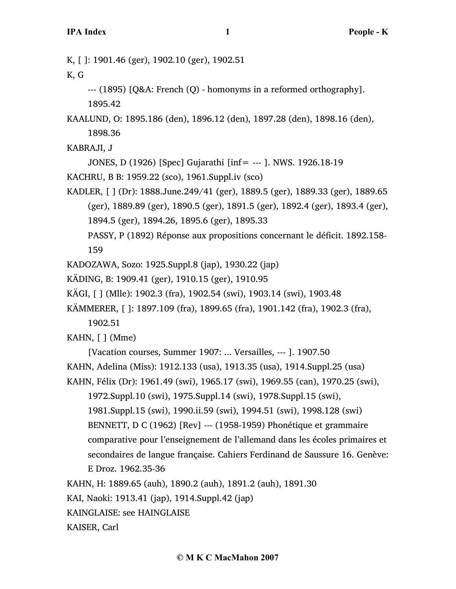K, [ ]: 1901.46 (ger), 1902.10 (ger), 1902.51

K, G

--- (1895) [Q&A: French (Q) - homonyms in a reformed orthography]. 1895.42

KAALUND, O: 1895.186 (den), 1896.12 (den), 1897.28 (den), 1898.16 (den), 1898.36

KABRAJI, J

JONES, D (1926) [Spec] Gujarathi [inf= --- ]. NWS. 1926.18-19

KACHRU, B B: 1959.22 (sco), 1961.Suppl.iv (sco)

KADLER, [ ] (Dr): 1888.June.249/41 (ger), 1889.5 (ger), 1889.33 (ger), 1889.65 (ger), 1889.89 (ger), 1890.5 (ger), 1891.5 (ger), 1892.4 (ger), 1893.4 (ger), 1894.5 (ger), 1894.26, 1895.6 (ger), 1895.33

PASSY, P (1892) Réponse aux propositions concernant le déficit. 1892.158- 159

KADOZAWA, Sozo: 1925.Suppl.8 (jap), 1930.22 (jap)

KÄDING, B: 1909.41 (ger), 1910.15 (ger), 1910.95

KÄGI, [ ] (Mlle): 1902.3 (fra), 1902.54 (swi), 1903.14 (swi), 1903.48

KÄMMERER, [ ]: 1897.109 (fra), 1899.65 (fra), 1901.142 (fra), 1902.3 (fra),

1902.51

KAHN, [ ] (Mme)

[Vacation courses, Summer 1907: ... Versailles, --- ]. 1907.50

KAHN, Adelina (Miss): 1912.133 (usa), 1913.35 (usa), 1914.Suppl.25 (usa)

KAHN, Félix (Dr): 1961.49 (swi), 1965.17 (swi), 1969.55 (can), 1970.25 (swi),

1972.Suppl.10 (swi), 1975.Suppl.14 (swi), 1978.Suppl.15 (swi),

1981.Suppl.15 (swi), 1990.ii.59 (swi), 1994.51 (swi), 1998.128 (swi) BENNETT, D C (1962) [Rev] --- (1958-1959) Phonétique et grammaire comparative pour l'enseignement de l'allemand dans les écoles primaires et secondaires de langue française. Cahiers Ferdinand de Saussure 16. Genève: E Droz. 1962.35-36

KAHN, H: 1889.65 (auh), 1890.2 (auh), 1891.2 (auh), 1891.30

KAI, Naoki: 1913.41 (jap), 1914.Suppl.42 (jap)

KAINGLAISE: see HAINGLAISE

KAISER, Carl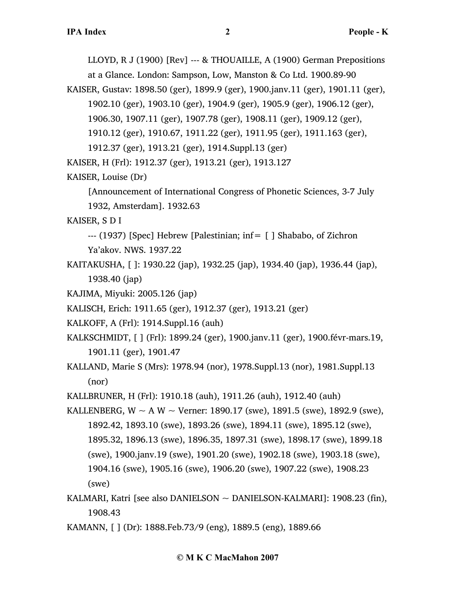LLOYD, R J (1900) [Rev] --- & THOUAILLE, A (1900) German Prepositions at a Glance. London: Sampson, Low, Manston & Co Ltd. 1900.89-90

KAISER, Gustav: 1898.50 (ger), 1899.9 (ger), 1900.janv.11 (ger), 1901.11 (ger), 1902.10 (ger), 1903.10 (ger), 1904.9 (ger), 1905.9 (ger), 1906.12 (ger), 1906.30, 1907.11 (ger), 1907.78 (ger), 1908.11 (ger), 1909.12 (ger), 1910.12 (ger), 1910.67, 1911.22 (ger), 1911.95 (ger), 1911.163 (ger),

1912.37 (ger), 1913.21 (ger), 1914.Suppl.13 (ger)

KAISER, H (Frl): 1912.37 (ger), 1913.21 (ger), 1913.127

- KAISER, Louise (Dr)
	- [Announcement of International Congress of Phonetic Sciences, 3-7 July 1932, Amsterdam]. 1932.63
- KAISER, S D I

--- (1937) [Spec] Hebrew [Palestinian; inf= [ ] Shababo, of Zichron Ya'akov. NWS. 1937.22

KAITAKUSHA, [ ]: 1930.22 (jap), 1932.25 (jap), 1934.40 (jap), 1936.44 (jap), 1938.40 (jap)

KAJIMA, Miyuki: 2005.126 (jap)

KALISCH, Erich: 1911.65 (ger), 1912.37 (ger), 1913.21 (ger)

KALKOFF, A (Frl): 1914.Suppl.16 (auh)

- KALKSCHMIDT, [ ] (Frl): 1899.24 (ger), 1900.janv.11 (ger), 1900.févr-mars.19, 1901.11 (ger), 1901.47
- KALLAND, Marie S (Mrs): 1978.94 (nor), 1978.Suppl.13 (nor), 1981.Suppl.13 (nor)

KALLBRUNER, H (Frl): 1910.18 (auh), 1911.26 (auh), 1912.40 (auh)

- KALLENBERG,  $W \sim A W \sim$  Verner: 1890.17 (swe), 1891.5 (swe), 1892.9 (swe), 1892.42, 1893.10 (swe), 1893.26 (swe), 1894.11 (swe), 1895.12 (swe), 1895.32, 1896.13 (swe), 1896.35, 1897.31 (swe), 1898.17 (swe), 1899.18 (swe), 1900.janv.19 (swe), 1901.20 (swe), 1902.18 (swe), 1903.18 (swe), 1904.16 (swe), 1905.16 (swe), 1906.20 (swe), 1907.22 (swe), 1908.23 (swe)
- KALMARI, Katri [see also DANIELSON  $\sim$  DANIELSON-KALMARI]: 1908.23 (fin), 1908.43

KAMANN, [ ] (Dr): 1888.Feb.73/9 (eng), 1889.5 (eng), 1889.66

## **© M K C MacMahon 2007**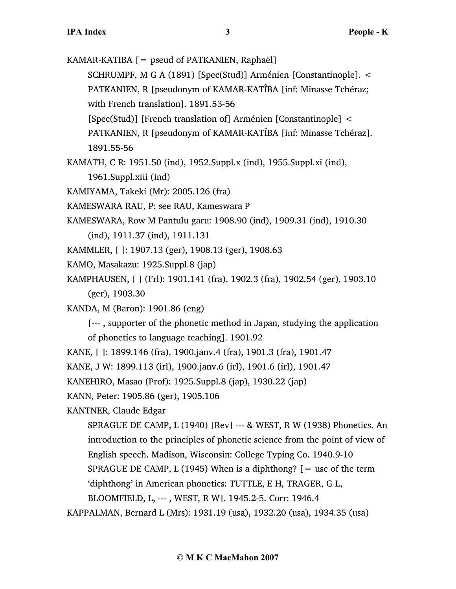KAMAR-KATIBA  $[$  = pseud of PATKANIEN, Raphaël]

SCHRUMPF, M G A (1891) [Spec(Stud)] Arménien [Constantinople]. <

PATKANIEN, R [pseudonym of KAMAR-KATÎBA [inf: Minasse Tchéraz; with French translation]. 1891.53-56

[Spec(Stud)] [French translation of] Arménien [Constantinople] <

PATKANIEN, R [pseudonym of KAMAR-KATÎBA [inf: Minasse Tchéraz]. 1891.55-56

KAMATH, C R: 1951.50 (ind), 1952.Suppl.x (ind), 1955.Suppl.xi (ind),

```
1961.Suppl.xiii (ind)
```
KAMIYAMA, Takeki (Mr): 2005.126 (fra)

KAMESWARA RAU, P: see RAU, Kameswara P

- KAMESWARA, Row M Pantulu garu: 1908.90 (ind), 1909.31 (ind), 1910.30 (ind), 1911.37 (ind), 1911.131
- KAMMLER, [ ]: 1907.13 (ger), 1908.13 (ger), 1908.63
- KAMO, Masakazu: 1925.Suppl.8 (jap)
- KAMPHAUSEN, [ ] (Frl): 1901.141 (fra), 1902.3 (fra), 1902.54 (ger), 1903.10 (ger), 1903.30
- KANDA, M (Baron): 1901.86 (eng)

[--- , supporter of the phonetic method in Japan, studying the application of phonetics to language teaching]. 1901.92

- KANE, [ ]: 1899.146 (fra), 1900.janv.4 (fra), 1901.3 (fra), 1901.47
- KANE, J W: 1899.113 (irl), 1900.janv.6 (irl), 1901.6 (irl), 1901.47

KANEHIRO, Masao (Prof): 1925.Suppl.8 (jap), 1930.22 (jap)

KANN, Peter: 1905.86 (ger), 1905.106

KANTNER, Claude Edgar

SPRAGUE DE CAMP, L (1940) [Rev] --- & WEST, R W (1938) Phonetics. An introduction to the principles of phonetic science from the point of view of English speech. Madison, Wisconsin: College Typing Co. 1940.9-10 SPRAGUE DE CAMP, L (1945) When is a diphthong?  $[$  = use of the term 'diphthong' in American phonetics: TUTTLE, E H, TRAGER, G L,

BLOOMFIELD, L, --- , WEST, R W]. 1945.2-5. Corr: 1946.4

KAPPALMAN, Bernard L (Mrs): 1931.19 (usa), 1932.20 (usa), 1934.35 (usa)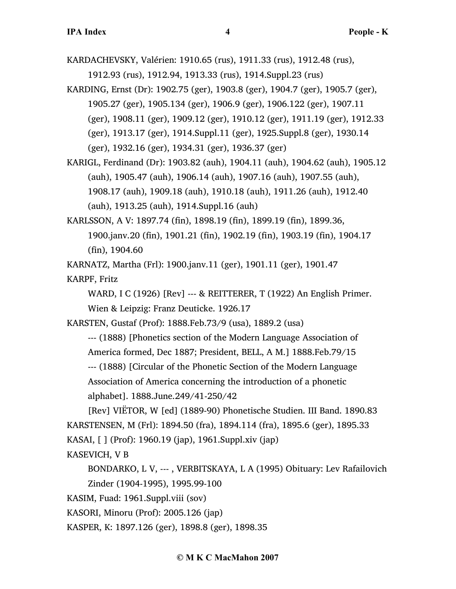KARDACHEVSKY, Valérien: 1910.65 (rus), 1911.33 (rus), 1912.48 (rus),

- 1912.93 (rus), 1912.94, 1913.33 (rus), 1914.Suppl.23 (rus)
- KARDING, Ernst (Dr): 1902.75 (ger), 1903.8 (ger), 1904.7 (ger), 1905.7 (ger), 1905.27 (ger), 1905.134 (ger), 1906.9 (ger), 1906.122 (ger), 1907.11 (ger), 1908.11 (ger), 1909.12 (ger), 1910.12 (ger), 1911.19 (ger), 1912.33 (ger), 1913.17 (ger), 1914.Suppl.11 (ger), 1925.Suppl.8 (ger), 1930.14 (ger), 1932.16 (ger), 1934.31 (ger), 1936.37 (ger)
- KARIGL, Ferdinand (Dr): 1903.82 (auh), 1904.11 (auh), 1904.62 (auh), 1905.12 (auh), 1905.47 (auh), 1906.14 (auh), 1907.16 (auh), 1907.55 (auh), 1908.17 (auh), 1909.18 (auh), 1910.18 (auh), 1911.26 (auh), 1912.40 (auh), 1913.25 (auh), 1914.Suppl.16 (auh)
- KARLSSON, A V: 1897.74 (fin), 1898.19 (fin), 1899.19 (fin), 1899.36, 1900.janv.20 (fin), 1901.21 (fin), 1902.19 (fin), 1903.19 (fin), 1904.17 (fin), 1904.60

KARNATZ, Martha (Frl): 1900.janv.11 (ger), 1901.11 (ger), 1901.47 KARPF, Fritz

WARD, I C (1926) [Rev] --- & REITTERER, T (1922) An English Primer. Wien & Leipzig: Franz Deuticke. 1926.17

KARSTEN, Gustaf (Prof): 1888.Feb.73/9 (usa), 1889.2 (usa)

--- (1888) [Phonetics section of the Modern Language Association of America formed, Dec 1887; President, BELL, A M.] 1888.Feb.79/15 --- (1888) [Circular of the Phonetic Section of the Modern Language Association of America concerning the introduction of a phonetic

alphabet]. 1888.June.249/41-250/42

[Rev] VIËTOR, W [ed] (1889-90) Phonetische Studien. III Band. 1890.83 KARSTENSEN, M (Frl): 1894.50 (fra), 1894.114 (fra), 1895.6 (ger), 1895.33 KASAI, [ ] (Prof): 1960.19 (jap), 1961.Suppl.xiv (jap) KASEVICH, V B

BONDARKO, L V, --- , VERBITSKAYA, L A (1995) Obituary: Lev Rafailovich Zinder (1904-1995), 1995.99-100

KASIM, Fuad: 1961.Suppl.viii (sov)

KASORI, Minoru (Prof): 2005.126 (jap)

KASPER, K: 1897.126 (ger), 1898.8 (ger), 1898.35

#### **© M K C MacMahon 2007**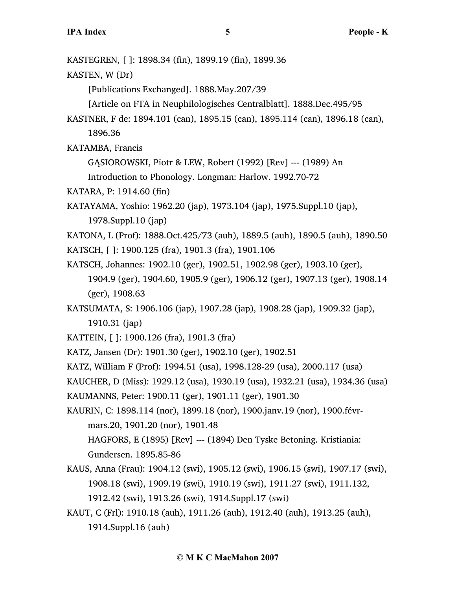KASTEGREN, [ ]: 1898.34 (fin), 1899.19 (fin), 1899.36 KASTEN, W (Dr) [Publications Exchanged]. 1888.May.207/39 [Article on FTA in Neuphilologisches Centralblatt]. 1888.Dec.495/95 KASTNER, F de: 1894.101 (can), 1895.15 (can), 1895.114 (can), 1896.18 (can), 1896.36 KATAMBA, Francis GĄSIOROWSKI, Piotr & LEW, Robert (1992) [Rev] --- (1989) An Introduction to Phonology. Longman: Harlow. 1992.70-72 KATARA, P: 1914.60 (fin) KATAYAMA, Yoshio: 1962.20 (jap), 1973.104 (jap), 1975.Suppl.10 (jap), 1978.Suppl.10 (jap) KATONA, L (Prof): 1888.Oct.425/73 (auh), 1889.5 (auh), 1890.5 (auh), 1890.50 KATSCH, [ ]: 1900.125 (fra), 1901.3 (fra), 1901.106 KATSCH, Johannes: 1902.10 (ger), 1902.51, 1902.98 (ger), 1903.10 (ger), 1904.9 (ger), 1904.60, 1905.9 (ger), 1906.12 (ger), 1907.13 (ger), 1908.14 (ger), 1908.63 KATSUMATA, S: 1906.106 (jap), 1907.28 (jap), 1908.28 (jap), 1909.32 (jap), 1910.31 (jap) KATTEIN, [ ]: 1900.126 (fra), 1901.3 (fra) KATZ, Jansen (Dr): 1901.30 (ger), 1902.10 (ger), 1902.51 KATZ, William F (Prof): 1994.51 (usa), 1998.128-29 (usa), 2000.117 (usa) KAUCHER, D (Miss): 1929.12 (usa), 1930.19 (usa), 1932.21 (usa), 1934.36 (usa) KAUMANNS, Peter: 1900.11 (ger), 1901.11 (ger), 1901.30 KAURIN, C: 1898.114 (nor), 1899.18 (nor), 1900.janv.19 (nor), 1900.févrmars.20, 1901.20 (nor), 1901.48 HAGFORS, E (1895) [Rev] --- (1894) Den Tyske Betoning. Kristiania: Gundersen. 1895.85-86 KAUS, Anna (Frau): 1904.12 (swi), 1905.12 (swi), 1906.15 (swi), 1907.17 (swi), 1908.18 (swi), 1909.19 (swi), 1910.19 (swi), 1911.27 (swi), 1911.132, 1912.42 (swi), 1913.26 (swi), 1914.Suppl.17 (swi)

KAUT, C (Frl): 1910.18 (auh), 1911.26 (auh), 1912.40 (auh), 1913.25 (auh), 1914.Suppl.16 (auh)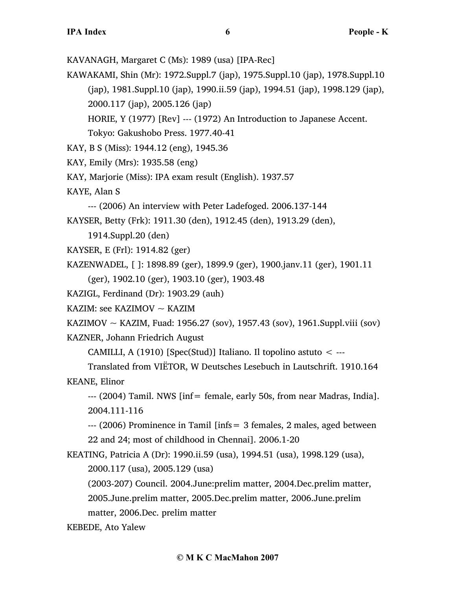KAVANAGH, Margaret C (Ms): 1989 (usa) [IPA-Rec]

KAWAKAMI, Shin (Mr): 1972.Suppl.7 (jap), 1975.Suppl.10 (jap), 1978.Suppl.10 (jap), 1981.Suppl.10 (jap), 1990.ii.59 (jap), 1994.51 (jap), 1998.129 (jap), 2000.117 (jap), 2005.126 (jap)

HORIE, Y (1977) [Rev] --- (1972) An Introduction to Japanese Accent.

```
Tokyo: Gakushobo Press. 1977.40-41
```
- KAY, B S (Miss): 1944.12 (eng), 1945.36
- KAY, Emily (Mrs): 1935.58 (eng)
- KAY, Marjorie (Miss): IPA exam result (English). 1937.57

KAYE, Alan S

--- (2006) An interview with Peter Ladefoged. 2006.137-144

KAYSER, Betty (Frk): 1911.30 (den), 1912.45 (den), 1913.29 (den),

1914.Suppl.20 (den)

KAYSER, E (Frl): 1914.82 (ger)

KAZENWADEL, [ ]: 1898.89 (ger), 1899.9 (ger), 1900.janv.11 (ger), 1901.11

```
(ger), 1902.10 (ger), 1903.10 (ger), 1903.48
```
KAZIGL, Ferdinand (Dr): 1903.29 (auh)

```
KAZIM: see KAZIMOV \sim KAZIM
```
KAZIMOV ~ KAZIM, Fuad: 1956.27 (sov), 1957.43 (sov), 1961.Suppl.viii (sov) KAZNER, Johann Friedrich August

CAMILLI, A (1910) [Spec(Stud)] Italiano. Il topolino astuto  $\lt$  ---

Translated from VIËTOR, W Deutsches Lesebuch in Lautschrift. 1910.164 KEANE, Elinor

--- (2004) Tamil. NWS [inf= female, early 50s, from near Madras, India]. 2004.111-116

--- (2006) Prominence in Tamil [infs= 3 females, 2 males, aged between 22 and 24; most of childhood in Chennai]. 2006.1-20

KEATING, Patricia A (Dr): 1990.ii.59 (usa), 1994.51 (usa), 1998.129 (usa),

2000.117 (usa), 2005.129 (usa)

(2003-207) Council. 2004.June:prelim matter, 2004.Dec.prelim matter,

2005.June.prelim matter, 2005.Dec.prelim matter, 2006.June.prelim

matter, 2006.Dec. prelim matter

KEBEDE, Ato Yalew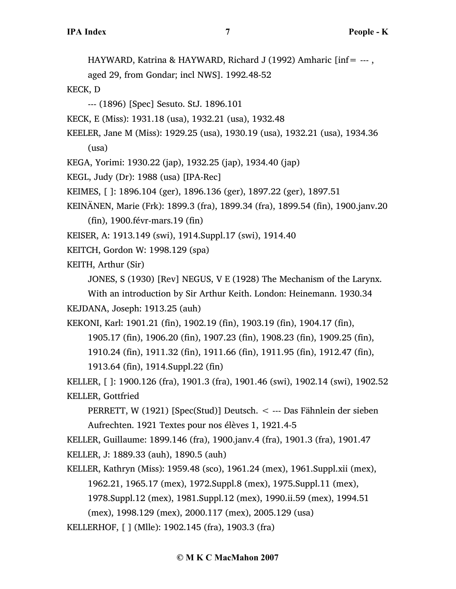HAYWARD, Katrina & HAYWARD, Richard J (1992) Amharic [inf= --- ,

aged 29, from Gondar; incl NWS]. 1992.48-52

KECK, D

- --- (1896) [Spec] Sesuto. StJ. 1896.101
- KECK, E (Miss): 1931.18 (usa), 1932.21 (usa), 1932.48
- KEELER, Jane M (Miss): 1929.25 (usa), 1930.19 (usa), 1932.21 (usa), 1934.36 (usa)
- KEGA, Yorimi: 1930.22 (jap), 1932.25 (jap), 1934.40 (jap)
- KEGL, Judy (Dr): 1988 (usa) [IPA-Rec]
- KEIMES, [ ]: 1896.104 (ger), 1896.136 (ger), 1897.22 (ger), 1897.51
- KEINÄNEN, Marie (Frk): 1899.3 (fra), 1899.34 (fra), 1899.54 (fin), 1900.janv.20 (fin), 1900.févr-mars.19 (fin)
- KEISER, A: 1913.149 (swi), 1914.Suppl.17 (swi), 1914.40
- KEITCH, Gordon W: 1998.129 (spa)
- KEITH, Arthur (Sir)

JONES, S (1930) [Rev] NEGUS, V E (1928) The Mechanism of the Larynx.

With an introduction by Sir Arthur Keith. London: Heinemann. 1930.34 KEJDANA, Joseph: 1913.25 (auh)

KEKONI, Karl: 1901.21 (fin), 1902.19 (fin), 1903.19 (fin), 1904.17 (fin),

1905.17 (fin), 1906.20 (fin), 1907.23 (fin), 1908.23 (fin), 1909.25 (fin),

1910.24 (fin), 1911.32 (fin), 1911.66 (fin), 1911.95 (fin), 1912.47 (fin),

1913.64 (fin), 1914.Suppl.22 (fin)

KELLER, [ ]: 1900.126 (fra), 1901.3 (fra), 1901.46 (swi), 1902.14 (swi), 1902.52 KELLER, Gottfried

PERRETT, W (1921) [Spec(Stud)] Deutsch. < --- Das Fähnlein der sieben Aufrechten. 1921 Textes pour nos élèves 1, 1921.4-5

KELLER, Guillaume: 1899.146 (fra), 1900.janv.4 (fra), 1901.3 (fra), 1901.47

KELLER, J: 1889.33 (auh), 1890.5 (auh)

KELLER, Kathryn (Miss): 1959.48 (sco), 1961.24 (mex), 1961.Suppl.xii (mex), 1962.21, 1965.17 (mex), 1972.Suppl.8 (mex), 1975.Suppl.11 (mex),

1978.Suppl.12 (mex), 1981.Suppl.12 (mex), 1990.ii.59 (mex), 1994.51

(mex), 1998.129 (mex), 2000.117 (mex), 2005.129 (usa)

KELLERHOF, [ ] (Mlle): 1902.145 (fra), 1903.3 (fra)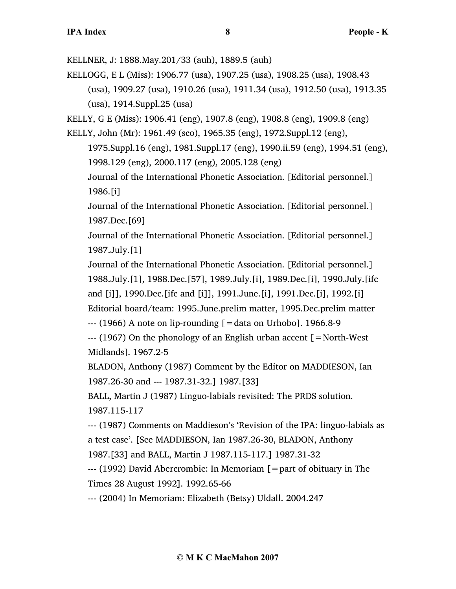KELLNER, J: 1888.May.201/33 (auh), 1889.5 (auh)

KELLOGG, E L (Miss): 1906.77 (usa), 1907.25 (usa), 1908.25 (usa), 1908.43 (usa), 1909.27 (usa), 1910.26 (usa), 1911.34 (usa), 1912.50 (usa), 1913.35 (usa), 1914.Suppl.25 (usa)

KELLY, G E (Miss): 1906.41 (eng), 1907.8 (eng), 1908.8 (eng), 1909.8 (eng)

KELLY, John (Mr): 1961.49 (sco), 1965.35 (eng), 1972.Suppl.12 (eng),

1975.Suppl.16 (eng), 1981.Suppl.17 (eng), 1990.ii.59 (eng), 1994.51 (eng), 1998.129 (eng), 2000.117 (eng), 2005.128 (eng)

Journal of the International Phonetic Association. [Editorial personnel.] 1986.[i]

Journal of the International Phonetic Association. [Editorial personnel.] 1987.Dec.[69]

Journal of the International Phonetic Association. [Editorial personnel.] 1987.July.[1]

Journal of the International Phonetic Association. [Editorial personnel.] 1988.July.[1], 1988.Dec.[57], 1989.July.[i], 1989.Dec.[i], 1990.July.[ifc and [i]], 1990.Dec.[ifc and [i]], 1991.June.[i], 1991.Dec.[i], 1992.[i] Editorial board/team: 1995.June.prelim matter, 1995.Dec.prelim matter

 $-$ -- $(1966)$  A note on lip-rounding  $[$  = data on Urhobo]. 1966.8-9

 $-$ -- $(1967)$  On the phonology of an English urban accent  $[$  = North-West Midlands]. 1967.2-5

BLADON, Anthony (1987) Comment by the Editor on MADDIESON, Ian 1987.26-30 and --- 1987.31-32.] 1987.[33]

BALL, Martin J (1987) Linguo-labials revisited: The PRDS solution. 1987.115-117

--- (1987) Comments on Maddieson's 'Revision of the IPA: linguo-labials as a test case'. [See MADDIESON, Ian 1987.26-30, BLADON, Anthony 1987.[33] and BALL, Martin J 1987.115-117.] 1987.31-32

--- (1992) David Abercrombie: In Memoriam [=part of obituary in The Times 28 August 1992]. 1992.65-66

--- (2004) In Memoriam: Elizabeth (Betsy) Uldall. 2004.247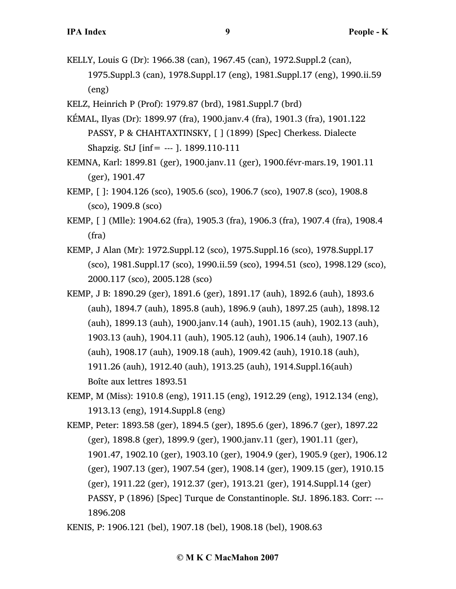- KELLY, Louis G (Dr): 1966.38 (can), 1967.45 (can), 1972.Suppl.2 (can), 1975.Suppl.3 (can), 1978.Suppl.17 (eng), 1981.Suppl.17 (eng), 1990.ii.59 (eng)
- KELZ, Heinrich P (Prof): 1979.87 (brd), 1981.Suppl.7 (brd)
- KÉMAL, Ilyas (Dr): 1899.97 (fra), 1900.janv.4 (fra), 1901.3 (fra), 1901.122 PASSY, P & CHAHTAXTINSKY, [ ] (1899) [Spec] Cherkess. Dialecte Shapzig. StJ [inf= --- ]. 1899.110-111
- KEMNA, Karl: 1899.81 (ger), 1900.janv.11 (ger), 1900.févr-mars.19, 1901.11 (ger), 1901.47
- KEMP, [ ]: 1904.126 (sco), 1905.6 (sco), 1906.7 (sco), 1907.8 (sco), 1908.8 (sco), 1909.8 (sco)
- KEMP, [ ] (Mlle): 1904.62 (fra), 1905.3 (fra), 1906.3 (fra), 1907.4 (fra), 1908.4 (fra)
- KEMP, J Alan (Mr): 1972.Suppl.12 (sco), 1975.Suppl.16 (sco), 1978.Suppl.17 (sco), 1981.Suppl.17 (sco), 1990.ii.59 (sco), 1994.51 (sco), 1998.129 (sco), 2000.117 (sco), 2005.128 (sco)
- KEMP, J B: 1890.29 (ger), 1891.6 (ger), 1891.17 (auh), 1892.6 (auh), 1893.6 (auh), 1894.7 (auh), 1895.8 (auh), 1896.9 (auh), 1897.25 (auh), 1898.12 (auh), 1899.13 (auh), 1900.janv.14 (auh), 1901.15 (auh), 1902.13 (auh), 1903.13 (auh), 1904.11 (auh), 1905.12 (auh), 1906.14 (auh), 1907.16 (auh), 1908.17 (auh), 1909.18 (auh), 1909.42 (auh), 1910.18 (auh), 1911.26 (auh), 1912.40 (auh), 1913.25 (auh), 1914.Suppl.16(auh) Boîte aux lettres 1893.51
- KEMP, M (Miss): 1910.8 (eng), 1911.15 (eng), 1912.29 (eng), 1912.134 (eng), 1913.13 (eng), 1914.Suppl.8 (eng)
- KEMP, Peter: 1893.58 (ger), 1894.5 (ger), 1895.6 (ger), 1896.7 (ger), 1897.22 (ger), 1898.8 (ger), 1899.9 (ger), 1900.janv.11 (ger), 1901.11 (ger), 1901.47, 1902.10 (ger), 1903.10 (ger), 1904.9 (ger), 1905.9 (ger), 1906.12 (ger), 1907.13 (ger), 1907.54 (ger), 1908.14 (ger), 1909.15 (ger), 1910.15 (ger), 1911.22 (ger), 1912.37 (ger), 1913.21 (ger), 1914.Suppl.14 (ger) PASSY, P (1896) [Spec] Turque de Constantinople. StJ. 1896.183. Corr: --- 1896.208
- KENIS, P: 1906.121 (bel), 1907.18 (bel), 1908.18 (bel), 1908.63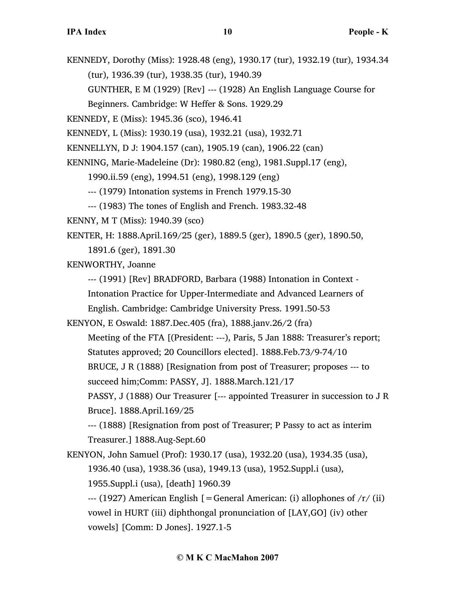KENNEDY, Dorothy (Miss): 1928.48 (eng), 1930.17 (tur), 1932.19 (tur), 1934.34 (tur), 1936.39 (tur), 1938.35 (tur), 1940.39 GUNTHER, E M (1929) [Rev] --- (1928) An English Language Course for

Beginners. Cambridge: W Heffer & Sons. 1929.29

KENNEDY, E (Miss): 1945.36 (sco), 1946.41

KENNEDY, L (Miss): 1930.19 (usa), 1932.21 (usa), 1932.71

KENNELLYN, D J: 1904.157 (can), 1905.19 (can), 1906.22 (can)

KENNING, Marie-Madeleine (Dr): 1980.82 (eng), 1981.Suppl.17 (eng),

```
1990.ii.59 (eng), 1994.51 (eng), 1998.129 (eng)
```
--- (1979) Intonation systems in French 1979.15-30

--- (1983) The tones of English and French. 1983.32-48

KENNY, M T (Miss): 1940.39 (sco)

KENTER, H: 1888.April.169/25 (ger), 1889.5 (ger), 1890.5 (ger), 1890.50,

1891.6 (ger), 1891.30

KENWORTHY, Joanne

--- (1991) [Rev] BRADFORD, Barbara (1988) Intonation in Context -

Intonation Practice for Upper-Intermediate and Advanced Learners of

English. Cambridge: Cambridge University Press. 1991.50-53

KENYON, E Oswald: 1887.Dec.405 (fra), 1888.janv.26/2 (fra)

Meeting of the FTA [(President: ---), Paris, 5 Jan 1888: Treasurer's report;

Statutes approved; 20 Councillors elected]. 1888.Feb.73/9-74/10

BRUCE, J R (1888) [Resignation from post of Treasurer; proposes --- to

succeed him;Comm: PASSY, J]. 1888.March.121/17

PASSY, J (1888) Our Treasurer [--- appointed Treasurer in succession to J R Bruce]. 1888.April.169/25

--- (1888) [Resignation from post of Treasurer; P Passy to act as interim Treasurer.] 1888.Aug-Sept.60

KENYON, John Samuel (Prof): 1930.17 (usa), 1932.20 (usa), 1934.35 (usa), 1936.40 (usa), 1938.36 (usa), 1949.13 (usa), 1952.Suppl.i (usa), 1955.Suppl.i (usa), [death] 1960.39

 $-$ -- (1927) American English [=General American: (i) allophones of  $/r/$  (ii) vowel in HURT (iii) diphthongal pronunciation of [LAY,GO] (iv) other vowels] [Comm: D Jones]. 1927.1-5

# **© M K C MacMahon 2007**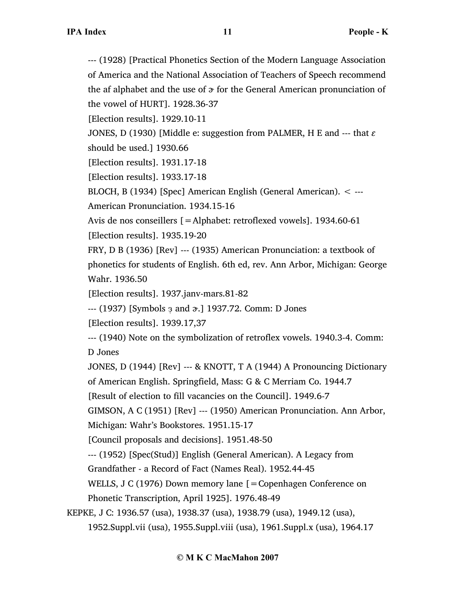--- (1928) [Practical Phonetics Section of the Modern Language Association of America and the National Association of Teachers of Speech recommend the af alphabet and the use of  $\sigma$  for the General American pronunciation of the vowel of HURT]. 1928.36-37

[Election results]. 1929.10-11

JONES, D (1930) [Middle e: suggestion from PALMER, H E and --- that  $\varepsilon$ should be used.] 1930.66

[Election results]. 1931.17-18

[Election results]. 1933.17-18

BLOCH, B (1934) [Spec] American English (General American). < ---

American Pronunciation. 1934.15-16

Avis de nos conseillers [=Alphabet: retroflexed vowels]. 1934.60-61

[Election results]. 1935.19-20

FRY, D B (1936) [Rev] --- (1935) American Pronunciation: a textbook of phonetics for students of English. 6th ed, rev. Ann Arbor, Michigan: George Wahr. 1936.50

[Election results]. 1937.janv-mars.81-82

--- (1937) [Symbols 3 and  $\alpha$ .] 1937.72. Comm: D Jones

[Election results]. 1939.17,37

--- (1940) Note on the symbolization of retroflex vowels. 1940.3-4. Comm: D Jones

JONES, D (1944) [Rev] --- & KNOTT, T A (1944) A Pronouncing Dictionary of American English. Springfield, Mass: G & C Merriam Co. 1944.7

[Result of election to fill vacancies on the Council]. 1949.6-7

GIMSON, A C (1951) [Rev] --- (1950) American Pronunciation. Ann Arbor, Michigan: Wahr's Bookstores. 1951.15-17

[Council proposals and decisions]. 1951.48-50

--- (1952) [Spec(Stud)] English (General American). A Legacy from

Grandfather - a Record of Fact (Names Real). 1952.44-45

WELLS, J C (1976) Down memory lane [ = Copenhagen Conference on Phonetic Transcription, April 1925]. 1976.48-49

KEPKE, J C: 1936.57 (usa), 1938.37 (usa), 1938.79 (usa), 1949.12 (usa), 1952.Suppl.vii (usa), 1955.Suppl.viii (usa), 1961.Suppl.x (usa), 1964.17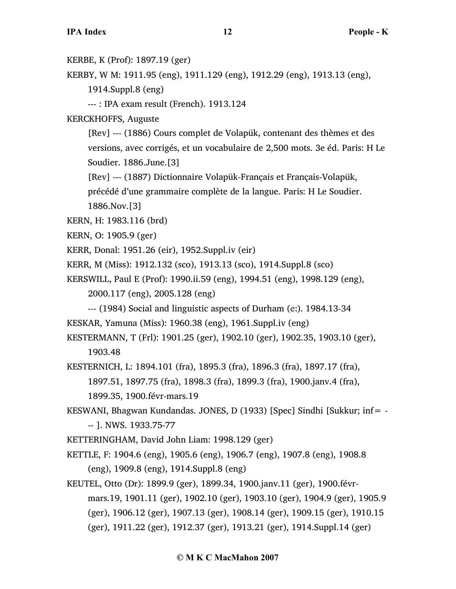KERBE, K (Prof): 1897.19 (ger)

KERBY, W M: 1911.95 (eng), 1911.129 (eng), 1912.29 (eng), 1913.13 (eng), 1914.Suppl.8 (eng)

--- : IPA exam result (French). 1913.124

KERCKHOFFS, Auguste

[Rev] --- (1886) Cours complet de Volapük, contenant des thèmes et des versions, avec corrigés, et un vocabulaire de 2,500 mots. 3e éd. Paris: H Le Soudier. 1886.June.[3]

[Rev] --- (1887) Dictionnaire Volapük-Français et Français-Volapük,

précédé d'une grammaire complète de la langue. Paris: H Le Soudier. 1886.Nov.[3]

KERN, H: 1983.116 (brd)

- KERN, O: 1905.9 (ger)
- KERR, Donal: 1951.26 (eir), 1952.Suppl.iv (eir)

KERR, M (Miss): 1912.132 (sco), 1913.13 (sco), 1914.Suppl.8 (sco)

KERSWILL, Paul E (Prof): 1990.ii.59 (eng), 1994.51 (eng), 1998.129 (eng), 2000.117 (eng), 2005.128 (eng)

--- (1984) Social and linguistic aspects of Durham (e…). 1984.13-34

KESKAR, Yamuna (Miss): 1960.38 (eng), 1961.Suppl.iv (eng)

- KESTERMANN, T (Frl): 1901.25 (ger), 1902.10 (ger), 1902.35, 1903.10 (ger), 1903.48
- KESTERNICH, L: 1894.101 (fra), 1895.3 (fra), 1896.3 (fra), 1897.17 (fra), 1897.51, 1897.75 (fra), 1898.3 (fra), 1899.3 (fra), 1900.janv.4 (fra), 1899.35, 1900.févr-mars.19
- KESWANI, Bhagwan Kundandas. JONES, D (1933) [Spec] Sindhi [Sukkur; inf= -- ]. NWS. 1933.75-77

KETTERINGHAM, David John Liam: 1998.129 (ger)

- KETTLE, F: 1904.6 (eng), 1905.6 (eng), 1906.7 (eng), 1907.8 (eng), 1908.8 (eng), 1909.8 (eng), 1914.Suppl.8 (eng)
- KEUTEL, Otto (Dr): 1899.9 (ger), 1899.34, 1900.janv.11 (ger), 1900.févrmars.19, 1901.11 (ger), 1902.10 (ger), 1903.10 (ger), 1904.9 (ger), 1905.9 (ger), 1906.12 (ger), 1907.13 (ger), 1908.14 (ger), 1909.15 (ger), 1910.15 (ger), 1911.22 (ger), 1912.37 (ger), 1913.21 (ger), 1914.Suppl.14 (ger)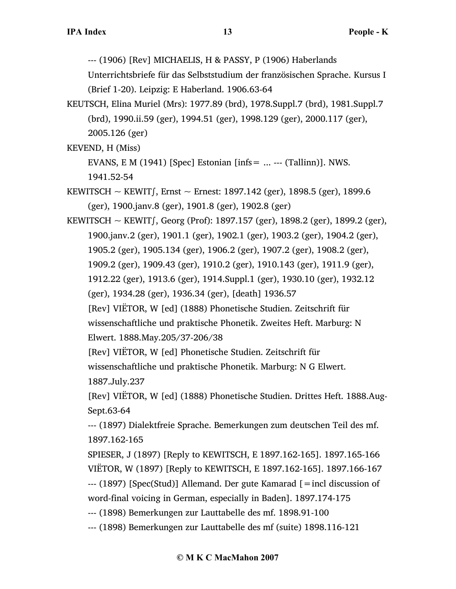--- (1906) [Rev] MICHAELIS, H & PASSY, P (1906) Haberlands

Unterrichtsbriefe für das Selbststudium der französischen Sprache. Kursus I (Brief 1-20). Leipzig: E Haberland. 1906.63-64

KEUTSCH, Elina Muriel (Mrs): 1977.89 (brd), 1978.Suppl.7 (brd), 1981.Suppl.7 (brd), 1990.ii.59 (ger), 1994.51 (ger), 1998.129 (ger), 2000.117 (ger), 2005.126 (ger)

KEVEND, H (Miss)

EVANS, E M (1941) [Spec] Estonian [infs  $=$  ... --- (Tallinn)]. NWS.

1941.52-54

KEWITSCH ~ KEWIT∫, Ernst ~ Ernest: 1897.142 (ger), 1898.5 (ger), 1899.6 (ger), 1900.janv.8 (ger), 1901.8 (ger), 1902.8 (ger)

KEWITSCH ~ KEWIT∫, Georg (Prof): 1897.157 (ger), 1898.2 (ger), 1899.2 (ger), 1900.janv.2 (ger), 1901.1 (ger), 1902.1 (ger), 1903.2 (ger), 1904.2 (ger), 1905.2 (ger), 1905.134 (ger), 1906.2 (ger), 1907.2 (ger), 1908.2 (ger), 1909.2 (ger), 1909.43 (ger), 1910.2 (ger), 1910.143 (ger), 1911.9 (ger), 1912.22 (ger), 1913.6 (ger), 1914.Suppl.1 (ger), 1930.10 (ger), 1932.12 (ger), 1934.28 (ger), 1936.34 (ger), [death] 1936.57 [Rev] VIËTOR, W [ed] (1888) Phonetische Studien. Zeitschrift für

wissenschaftliche und praktische Phonetik. Zweites Heft. Marburg: N Elwert. 1888.May.205/37-206/38

[Rev] VIËTOR, W [ed] Phonetische Studien. Zeitschrift für

wissenschaftliche und praktische Phonetik. Marburg: N G Elwert.

1887.July.237

[Rev] VIËTOR, W [ed] (1888) Phonetische Studien. Drittes Heft. 1888.Aug-Sept.63-64

--- (1897) Dialektfreie Sprache. Bemerkungen zum deutschen Teil des mf. 1897.162-165

SPIESER, J (1897) [Reply to KEWITSCH, E 1897.162-165]. 1897.165-166 VIËTOR, W (1897) [Reply to KEWITSCH, E 1897.162-165]. 1897.166-167

--- (1897) [Spec(Stud)] Allemand. Der gute Kamarad [=incl discussion of word-final voicing in German, especially in Baden]. 1897.174-175

--- (1898) Bemerkungen zur Lauttabelle des mf. 1898.91-100

--- (1898) Bemerkungen zur Lauttabelle des mf (suite) 1898.116-121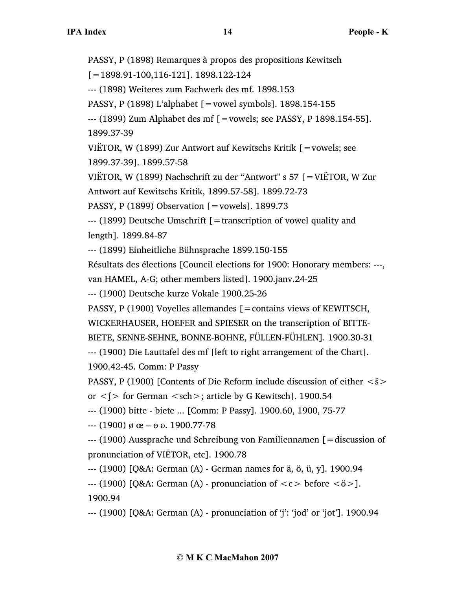PASSY, P (1898) Remarques à propos des propositions Kewitsch

[=1898.91-100,116-121]. 1898.122-124

--- (1898) Weiteres zum Fachwerk des mf. 1898.153

PASSY, P (1898) L'alphabet [=vowel symbols]. 1898.154-155

--- (1899) Zum Alphabet des mf [=vowels; see PASSY, P 1898.154-55]. 1899.37-39

VIËTOR, W (1899) Zur Antwort auf Kewitschs Kritik  $[=$ vowels; see 1899.37-39]. 1899.57-58

VIËTOR, W (1899) Nachschrift zu der "Antwort" s 57 [=VIËTOR, W Zur Antwort auf Kewitschs Kritik, 1899.57-58]. 1899.72-73

PASSY, P (1899) Observation  $[=vowels]$ . 1899.73

 $-$ --- (1899) Deutsche Umschrift [=transcription of vowel quality and length]. 1899.84-87

--- (1899) Einheitliche Bühnsprache 1899.150-155

Résultats des élections [Council elections for 1900: Honorary members: ---, van HAMEL, A-G; other members listed]. 1900.janv.24-25

--- (1900) Deutsche kurze Vokale 1900.25-26

PASSY, P (1900) Voyelles allemandes  $\mathfrak{f} =$  contains views of KEWITSCH, WICKERHAUSER, HOEFER and SPIESER on the transcription of BITTE-BIETE, SENNE-SEHNE, BONNE-BOHNE, FÜLLEN-FÜHLEN]. 1900.30-31

--- (1900) Die Lauttafel des mf [left to right arrangement of the Chart]. 1900.42-45. Comm: P Passy

PASSY, P (1900) [Contents of Die Reform include discussion of either  $\langle \xi \rangle$ 

or  $\langle$  > for German  $\langle$  sch  $\rangle$ ; article by G Kewitsch]. 1900.54

--- (1900) bitte - biete ... [Comm: P Passy]. 1900.60, 1900, 75-77

 $-(-1900)$  ø œ –  $\theta$   $\theta$ . 1900.77-78

--- (1900) Aussprache und Schreibung von Familiennamen [=discussion of pronunciation of VIËTOR, etc]. 1900.78

--- (1900) [Q&A: German (A) - German names for ä, ö, ü, y]. 1900.94

--- (1900) [O&A: German (A) - pronunciation of  $\langle c \rangle$  before  $\langle \ddot{\sigma} \rangle$ ].

1900.94

--- (1900) [Q&A: German (A) - pronunciation of 'j': 'jod' or 'jot']. 1900.94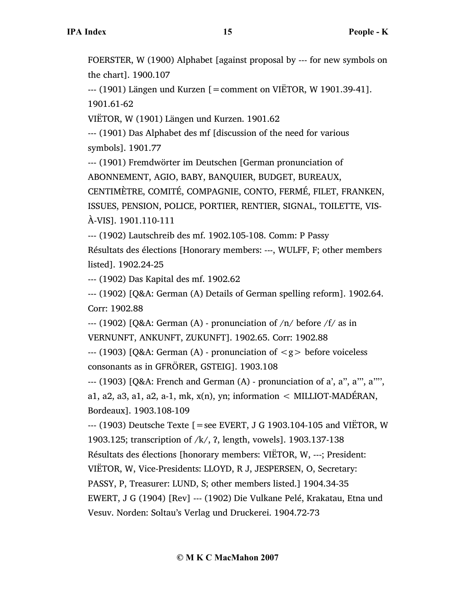FOERSTER, W (1900) Alphabet [against proposal by --- for new symbols on the chart]. 1900.107

--- (1901) Längen und Kurzen [=comment on VIËTOR, W 1901.39-41]. 1901.61-62

VIËTOR, W (1901) Längen und Kurzen. 1901.62

--- (1901) Das Alphabet des mf [discussion of the need for various symbols]. 1901.77

--- (1901) Fremdwörter im Deutschen [German pronunciation of

ABONNEMENT, AGIO, BABY, BANQUIER, BUDGET, BUREAUX,

CENTIMÈTRE, COMITÉ, COMPAGNIE, CONTO, FERMÉ, FILET, FRANKEN,

ISSUES, PENSION, POLICE, PORTIER, RENTIER, SIGNAL, TOILETTE, VIS-À-VIS]. 1901.110-111

--- (1902) Lautschreib des mf. 1902.105-108. Comm: P Passy

Résultats des élections [Honorary members: ---, WULFF, F; other members listed]. 1902.24-25

--- (1902) Das Kapital des mf. 1902.62

--- (1902) [Q&A: German (A) Details of German spelling reform]. 1902.64. Corr: 1902.88

 $-$ -- (1902) [Q&A: German (A) - pronunciation of  $/n/$  before  $/f/$  as in VERNUNFT, ANKUNFT, ZUKUNFT]. 1902.65. Corr: 1902.88

--- (1903) [Q&A: German (A) - pronunciation of  $\langle g \rangle$  before voiceless consonants as in GFRÖRER, GSTEIG]. 1903.108

--- (1903) [Q&A: French and German (A) - pronunciation of a', a'', a''', a'''', a1, a2, a3, a1, a2, a-1, mk,  $x(n)$ , yn; information  $\leq$  MILLIOT-MADÉRAN, Bordeaux]. 1903.108-109

 $-$ -- $(1903)$  Deutsche Texte [ = see EVERT, J G 1903.104-105 and VIETOR, W 1903.125; transcription of  $/k/$ , ?, length, vowels]. 1903.137-138

Résultats des élections [honorary members: VIËTOR, W, ---; President:

VIËTOR, W, Vice-Presidents: LLOYD, R J, JESPERSEN, O, Secretary:

PASSY, P, Treasurer: LUND, S; other members listed.] 1904.34-35

EWERT, J G (1904) [Rev] --- (1902) Die Vulkane Pelé, Krakatau, Etna und

Vesuv. Norden: Soltau's Verlag und Druckerei. 1904.72-73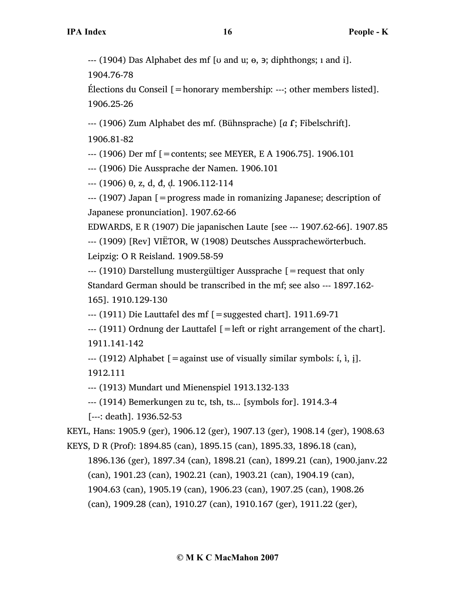$-(-1904)$  Das Alphabet des mf [ $u$  and  $u$ ;  $\theta$ ,  $\theta$ ; diphthongs; i and i].

1904.76-78

Élections du Conseil [=honorary membership: ---; other members listed]. 1906.25-26

--- (1906) Zum Alphabet des mf. (Bühnsprache) [*ɑ* ɾ; Fibelschrift].

1906.81-82

--- (1906) Der mf [=contents; see MEYER, E A 1906.75]. 1906.101

--- (1906) Die Aussprache der Namen. 1906.101

 $-$ -- $(1906)$   $\theta$ , z, d, đ, d. 1906.112-114

--- (1907) Japan [=progress made in romanizing Japanese; description of Japanese pronunciation]. 1907.62-66

EDWARDS, E R (1907) Die japanischen Laute [see --- 1907.62-66]. 1907.85

--- (1909) [Rev] VIËTOR, W (1908) Deutsches Aussprachewörterbuch.

Leipzig: O R Reisland. 1909.58-59

 $-$ -- (1910) Darstellung mustergültiger Aussprache  $\mathfrak{[} =$  request that only Standard German should be transcribed in the mf; see also --- 1897.162- 165]. 1910.129-130

--- (1911) Die Lauttafel des mf [=suggested chart]. 1911.69-71

 $-$ -- (1911) Ordnung der Lauttafel  $[$  = left or right arrangement of the chart]. 1911.141-142

 $-$  (1912) Alphabet [=against use of visually similar symbols: í, ì, i].

1912.111

--- (1913) Mundart und Mienenspiel 1913.132-133

--- (1914) Bemerkungen zu tc, tsh, ts... [symbols for]. 1914.3-4

[---: death]. 1936.52-53

KEYL, Hans: 1905.9 (ger), 1906.12 (ger), 1907.13 (ger), 1908.14 (ger), 1908.63 KEYS, D R (Prof): 1894.85 (can), 1895.15 (can), 1895.33, 1896.18 (can),

1896.136 (ger), 1897.34 (can), 1898.21 (can), 1899.21 (can), 1900.janv.22

(can), 1901.23 (can), 1902.21 (can), 1903.21 (can), 1904.19 (can),

1904.63 (can), 1905.19 (can), 1906.23 (can), 1907.25 (can), 1908.26

(can), 1909.28 (can), 1910.27 (can), 1910.167 (ger), 1911.22 (ger),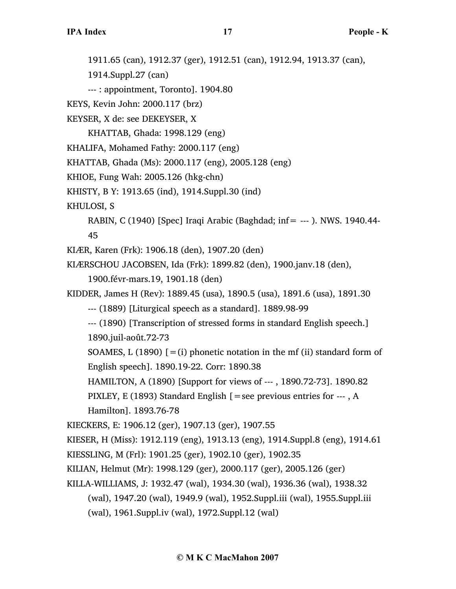1911.65 (can), 1912.37 (ger), 1912.51 (can), 1912.94, 1913.37 (can),

1914.Suppl.27 (can)

--- : appointment, Toronto]. 1904.80

KEYS, Kevin John: 2000.117 (brz)

KEYSER, X de: see DEKEYSER, X

KHATTAB, Ghada: 1998.129 (eng)

KHALIFA, Mohamed Fathy: 2000.117 (eng)

KHATTAB, Ghada (Ms): 2000.117 (eng), 2005.128 (eng)

KHIOE, Fung Wah: 2005.126 (hkg-chn)

KHISTY, B Y: 1913.65 (ind), 1914.Suppl.30 (ind)

KHULOSI, S

RABIN, C (1940) [Spec] Iraqi Arabic (Baghdad; inf= --- ). NWS. 1940.44- 45

KIÆR, Karen (Frk): 1906.18 (den), 1907.20 (den)

KIÆRSCHOU JACOBSEN, Ida (Frk): 1899.82 (den), 1900.janv.18 (den),

1900.févr-mars.19, 1901.18 (den)

KIDDER, James H (Rev): 1889.45 (usa), 1890.5 (usa), 1891.6 (usa), 1891.30

--- (1889) [Liturgical speech as a standard]. 1889.98-99

--- (1890) [Transcription of stressed forms in standard English speech.] 1890.juil-août.72-73

SOAMES, L (1890)  $[=(i)]$  phonetic notation in the mf (ii) standard form of English speech]. 1890.19-22. Corr: 1890.38

HAMILTON, A (1890) [Support for views of --- , 1890.72-73]. 1890.82

PIXLEY, E (1893) Standard English  $[=$  see previous entries for  $--$ , A Hamilton]. 1893.76-78

KIECKERS, E: 1906.12 (ger), 1907.13 (ger), 1907.55

KIESER, H (Miss): 1912.119 (eng), 1913.13 (eng), 1914.Suppl.8 (eng), 1914.61

KIESSLING, M (Frl): 1901.25 (ger), 1902.10 (ger), 1902.35

KILIAN, Helmut (Mr): 1998.129 (ger), 2000.117 (ger), 2005.126 (ger)

KILLA-WILLIAMS, J: 1932.47 (wal), 1934.30 (wal), 1936.36 (wal), 1938.32

```
(wal), 1947.20 (wal), 1949.9 (wal), 1952.Suppl.iii (wal), 1955.Suppl.iii
```
(wal), 1961.Suppl.iv (wal), 1972.Suppl.12 (wal)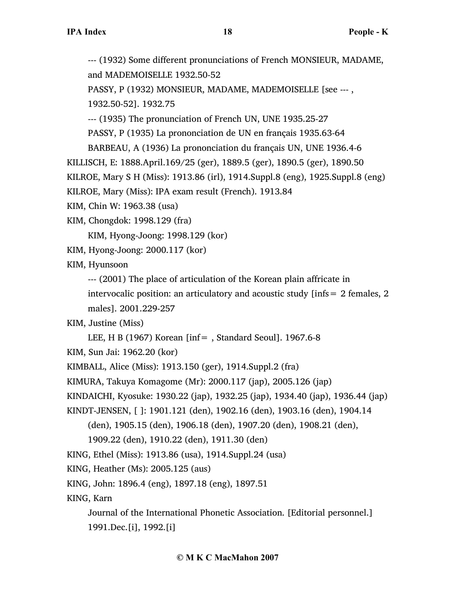--- (1932) Some different pronunciations of French MONSIEUR, MADAME, and MADEMOISELLE 1932.50-52

PASSY, P (1932) MONSIEUR, MADAME, MADEMOISELLE [see --- , 1932.50-52]. 1932.75

--- (1935) The pronunciation of French UN, UNE 1935.25-27

PASSY, P (1935) La prononciation de UN en français 1935.63-64

BARBEAU, A (1936) La prononciation du français UN, UNE 1936.4-6

KILLISCH, E: 1888.April.169/25 (ger), 1889.5 (ger), 1890.5 (ger), 1890.50

KILROE, Mary S H (Miss): 1913.86 (irl), 1914.Suppl.8 (eng), 1925.Suppl.8 (eng)

KILROE, Mary (Miss): IPA exam result (French). 1913.84

KIM, Chin W: 1963.38 (usa)

KIM, Chongdok: 1998.129 (fra)

KIM, Hyong-Joong: 1998.129 (kor)

KIM, Hyong-Joong: 2000.117 (kor)

KIM, Hyunsoon

--- (2001) The place of articulation of the Korean plain affricate in

intervocalic position: an articulatory and acoustic study [infs= 2 females, 2 males]. 2001.229-257

KIM, Justine (Miss)

LEE, H B (1967) Korean [inf=, Standard Seoul]. 1967.6-8

KIM, Sun Jai: 1962.20 (kor)

```
KIMBALL, Alice (Miss): 1913.150 (ger), 1914.Suppl.2 (fra)
```
KIMURA, Takuya Komagome (Mr): 2000.117 (jap), 2005.126 (jap)

KINDAICHI, Kyosuke: 1930.22 (jap), 1932.25 (jap), 1934.40 (jap), 1936.44 (jap)

KINDT-JENSEN, [ ]: 1901.121 (den), 1902.16 (den), 1903.16 (den), 1904.14

(den), 1905.15 (den), 1906.18 (den), 1907.20 (den), 1908.21 (den),

1909.22 (den), 1910.22 (den), 1911.30 (den)

KING, Ethel (Miss): 1913.86 (usa), 1914.Suppl.24 (usa)

KING, Heather (Ms): 2005.125 (aus)

KING, John: 1896.4 (eng), 1897.18 (eng), 1897.51

KING, Karn

Journal of the International Phonetic Association. [Editorial personnel.] 1991.Dec.[i], 1992.[i]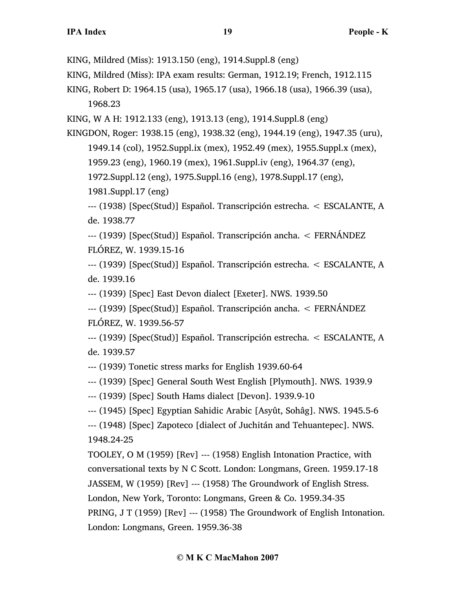KING, Mildred (Miss): 1913.150 (eng), 1914.Suppl.8 (eng)

KING, Mildred (Miss): IPA exam results: German, 1912.19; French, 1912.115

KING, Robert D: 1964.15 (usa), 1965.17 (usa), 1966.18 (usa), 1966.39 (usa), 1968.23

KING, W A H: 1912.133 (eng), 1913.13 (eng), 1914.Suppl.8 (eng)

KINGDON, Roger: 1938.15 (eng), 1938.32 (eng), 1944.19 (eng), 1947.35 (uru), 1949.14 (col), 1952.Suppl.ix (mex), 1952.49 (mex), 1955.Suppl.x (mex), 1959.23 (eng), 1960.19 (mex), 1961.Suppl.iv (eng), 1964.37 (eng), 1972.Suppl.12 (eng), 1975.Suppl.16 (eng), 1978.Suppl.17 (eng), 1981.Suppl.17 (eng)

--- (1938) [Spec(Stud)] Español. Transcripción estrecha. < ESCALANTE, A de. 1938.77

--- (1939) [Spec(Stud)] Español. Transcripción ancha. < FERNÁNDEZ FLÓREZ, W. 1939.15-16

--- (1939) [Spec(Stud)] Español. Transcripción estrecha. < ESCALANTE, A de. 1939.16

--- (1939) [Spec] East Devon dialect [Exeter]. NWS. 1939.50

--- (1939) [Spec(Stud)] Español. Transcripción ancha. < FERNÁNDEZ FLÓREZ, W. 1939.56-57

--- (1939) [Spec(Stud)] Español. Transcripción estrecha. < ESCALANTE, A de. 1939.57

--- (1939) Tonetic stress marks for English 1939.60-64

--- (1939) [Spec] General South West English [Plymouth]. NWS. 1939.9

--- (1939) [Spec] South Hams dialect [Devon]. 1939.9-10

--- (1945) [Spec] Egyptian Sahidic Arabic [Asyût, Sohâg]. NWS. 1945.5-6

--- (1948) [Spec] Zapoteco [dialect of Juchitán and Tehuantepec]. NWS. 1948.24-25

TOOLEY, O M (1959) [Rev] --- (1958) English Intonation Practice, with conversational texts by N C Scott. London: Longmans, Green. 1959.17-18 JASSEM, W (1959) [Rev] --- (1958) The Groundwork of English Stress. London, New York, Toronto: Longmans, Green & Co. 1959.34-35 PRING, J T (1959) [Rev] --- (1958) The Groundwork of English Intonation. London: Longmans, Green. 1959.36-38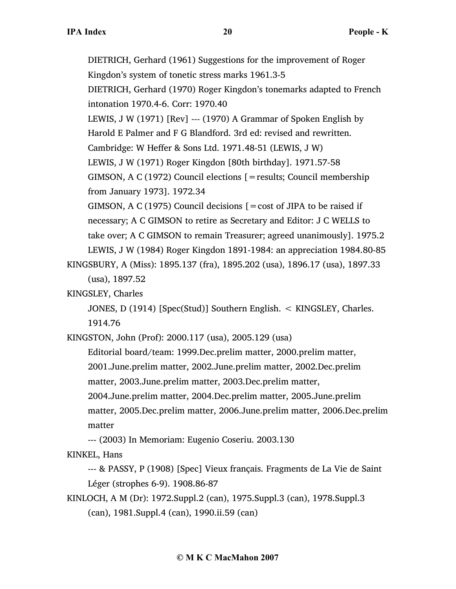DIETRICH, Gerhard (1961) Suggestions for the improvement of Roger Kingdon's system of tonetic stress marks 1961.3-5 DIETRICH, Gerhard (1970) Roger Kingdon's tonemarks adapted to French intonation 1970.4-6. Corr: 1970.40 LEWIS, J W (1971) [Rev] --- (1970) A Grammar of Spoken English by Harold E Palmer and F G Blandford. 3rd ed: revised and rewritten. Cambridge: W Heffer & Sons Ltd. 1971.48-51 (LEWIS, J W) LEWIS, J W (1971) Roger Kingdon [80th birthday]. 1971.57-58 GIMSON, A C (1972) Council elections [=results; Council membership from January 1973]. 1972.34 GIMSON, A C (1975) Council decisions  $\mathbf{r} = \cos t$  of JIPA to be raised if necessary; A C GIMSON to retire as Secretary and Editor: J C WELLS to take over; A C GIMSON to remain Treasurer; agreed unanimously]. 1975.2 LEWIS, J W (1984) Roger Kingdon 1891-1984: an appreciation 1984.80-85 KINGSBURY, A (Miss): 1895.137 (fra), 1895.202 (usa), 1896.17 (usa), 1897.33 (usa), 1897.52 KINGSLEY, Charles JONES, D (1914) [Spec(Stud)] Southern English. < KINGSLEY, Charles. 1914.76

KINGSTON, John (Prof): 2000.117 (usa), 2005.129 (usa)

Editorial board/team: 1999.Dec.prelim matter, 2000.prelim matter, 2001.June.prelim matter, 2002.June.prelim matter, 2002.Dec.prelim matter, 2003.June.prelim matter, 2003.Dec.prelim matter, 2004.June.prelim matter, 2004.Dec.prelim matter, 2005.June.prelim

matter, 2005.Dec.prelim matter, 2006.June.prelim matter, 2006.Dec.prelim matter

--- (2003) In Memoriam: Eugenio Coseriu. 2003.130

KINKEL, Hans

--- & PASSY, P (1908) [Spec] Vieux français. Fragments de La Vie de Saint Léger (strophes 6-9). 1908.86-87

KINLOCH, A M (Dr): 1972.Suppl.2 (can), 1975.Suppl.3 (can), 1978.Suppl.3 (can), 1981.Suppl.4 (can), 1990.ii.59 (can)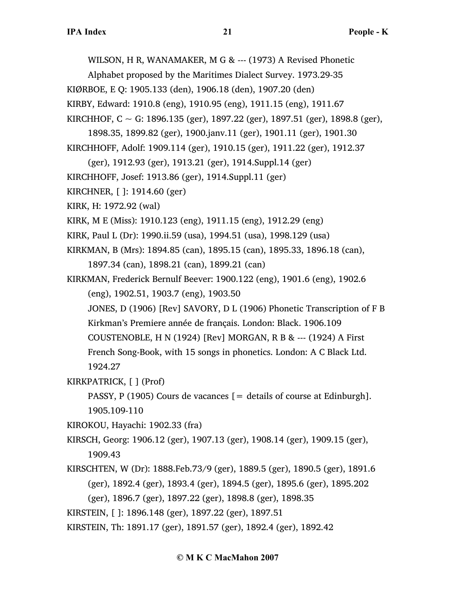WILSON, H R, WANAMAKER, M G & --- (1973) A Revised Phonetic

Alphabet proposed by the Maritimes Dialect Survey. 1973.29-35

KIØRBOE, E Q: 1905.133 (den), 1906.18 (den), 1907.20 (den)

KIRBY, Edward: 1910.8 (eng), 1910.95 (eng), 1911.15 (eng), 1911.67

KIRCHHOF, C  $\sim$  G: 1896.135 (ger), 1897.22 (ger), 1897.51 (ger), 1898.8 (ger),

1898.35, 1899.82 (ger), 1900.janv.11 (ger), 1901.11 (ger), 1901.30 KIRCHHOFF, Adolf: 1909.114 (ger), 1910.15 (ger), 1911.22 (ger), 1912.37

(ger), 1912.93 (ger), 1913.21 (ger), 1914.Suppl.14 (ger)

KIRCHHOFF, Josef: 1913.86 (ger), 1914.Suppl.11 (ger)

KIRCHNER, [ ]: 1914.60 (ger)

KIRK, H: 1972.92 (wal)

KIRK, M E (Miss): 1910.123 (eng), 1911.15 (eng), 1912.29 (eng)

KIRK, Paul L (Dr): 1990.ii.59 (usa), 1994.51 (usa), 1998.129 (usa)

KIRKMAN, B (Mrs): 1894.85 (can), 1895.15 (can), 1895.33, 1896.18 (can), 1897.34 (can), 1898.21 (can), 1899.21 (can)

KIRKMAN, Frederick Bernulf Beever: 1900.122 (eng), 1901.6 (eng), 1902.6 (eng), 1902.51, 1903.7 (eng), 1903.50

JONES, D (1906) [Rev] SAVORY, D L (1906) Phonetic Transcription of F B Kirkman's Premiere année de français. London: Black. 1906.109 COUSTENOBLE, H N (1924) [Rev] MORGAN, R B & --- (1924) A First French Song-Book, with 15 songs in phonetics. London: A C Black Ltd. 1924.27

KIRKPATRICK, [ ] (Prof)

PASSY, P (1905) Cours de vacances [= details of course at Edinburgh]. 1905.109-110

KIROKOU, Hayachi: 1902.33 (fra)

KIRSCH, Georg: 1906.12 (ger), 1907.13 (ger), 1908.14 (ger), 1909.15 (ger), 1909.43

KIRSCHTEN, W (Dr): 1888.Feb.73/9 (ger), 1889.5 (ger), 1890.5 (ger), 1891.6 (ger), 1892.4 (ger), 1893.4 (ger), 1894.5 (ger), 1895.6 (ger), 1895.202

(ger), 1896.7 (ger), 1897.22 (ger), 1898.8 (ger), 1898.35

KIRSTEIN, [ ]: 1896.148 (ger), 1897.22 (ger), 1897.51

KIRSTEIN, Th: 1891.17 (ger), 1891.57 (ger), 1892.4 (ger), 1892.42

## **© M K C MacMahon 2007**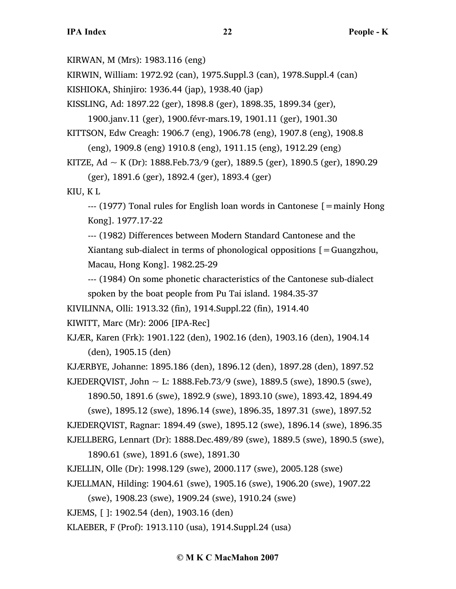KIRWAN, M (Mrs): 1983.116 (eng)

KIRWIN, William: 1972.92 (can), 1975.Suppl.3 (can), 1978.Suppl.4 (can)

KISHIOKA, Shinjiro: 1936.44 (jap), 1938.40 (jap)

KISSLING, Ad: 1897.22 (ger), 1898.8 (ger), 1898.35, 1899.34 (ger),

1900.janv.11 (ger), 1900.févr-mars.19, 1901.11 (ger), 1901.30

KITTSON, Edw Creagh: 1906.7 (eng), 1906.78 (eng), 1907.8 (eng), 1908.8 (eng), 1909.8 (eng) 1910.8 (eng), 1911.15 (eng), 1912.29 (eng)

KITZE, Ad  $\sim$  K (Dr): 1888. Feb. 73/9 (ger), 1889. 5 (ger), 1890. 5 (ger), 1890. 29 (ger), 1891.6 (ger), 1892.4 (ger), 1893.4 (ger)

KIU, K L

--- (1977) Tonal rules for English loan words in Cantonese [=mainly Hong Kong]. 1977.17-22

--- (1982) Differences between Modern Standard Cantonese and the Xiantang sub-dialect in terms of phonological oppositions  $[$  = Guangzhou, Macau, Hong Kong]. 1982.25-29

--- (1984) On some phonetic characteristics of the Cantonese sub-dialect spoken by the boat people from Pu Tai island. 1984.35-37

KIVILINNA, Olli: 1913.32 (fin), 1914.Suppl.22 (fin), 1914.40

KIWITT, Marc (Mr): 2006 [IPA-Rec]

KJÆR, Karen (Frk): 1901.122 (den), 1902.16 (den), 1903.16 (den), 1904.14 (den), 1905.15 (den)

KJÆRBYE, Johanne: 1895.186 (den), 1896.12 (den), 1897.28 (den), 1897.52

KJEDEROVIST, John  $\sim$  L: 1888. Feb. 73/9 (swe), 1889. 5 (swe), 1890. 5 (swe),

1890.50, 1891.6 (swe), 1892.9 (swe), 1893.10 (swe), 1893.42, 1894.49

(swe), 1895.12 (swe), 1896.14 (swe), 1896.35, 1897.31 (swe), 1897.52 KJEDERQVIST, Ragnar: 1894.49 (swe), 1895.12 (swe), 1896.14 (swe), 1896.35 KJELLBERG, Lennart (Dr): 1888.Dec.489/89 (swe), 1889.5 (swe), 1890.5 (swe),

1890.61 (swe), 1891.6 (swe), 1891.30

KJELLIN, Olle (Dr): 1998.129 (swe), 2000.117 (swe), 2005.128 (swe)

KJELLMAN, Hilding: 1904.61 (swe), 1905.16 (swe), 1906.20 (swe), 1907.22

(swe), 1908.23 (swe), 1909.24 (swe), 1910.24 (swe)

KJEMS, [ ]: 1902.54 (den), 1903.16 (den)

KLAEBER, F (Prof): 1913.110 (usa), 1914.Suppl.24 (usa)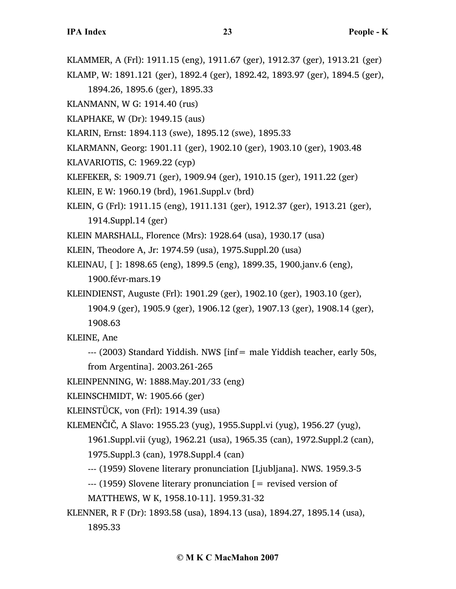KLAMMER, A (Frl): 1911.15 (eng), 1911.67 (ger), 1912.37 (ger), 1913.21 (ger)

KLAMP, W: 1891.121 (ger), 1892.4 (ger), 1892.42, 1893.97 (ger), 1894.5 (ger),

1894.26, 1895.6 (ger), 1895.33

- KLANMANN, W G: 1914.40 (rus)
- KLAPHAKE, W (Dr): 1949.15 (aus)

KLARIN, Ernst: 1894.113 (swe), 1895.12 (swe), 1895.33

- KLARMANN, Georg: 1901.11 (ger), 1902.10 (ger), 1903.10 (ger), 1903.48
- KLAVARIOTIS, C: 1969.22 (cyp)

KLEFEKER, S: 1909.71 (ger), 1909.94 (ger), 1910.15 (ger), 1911.22 (ger)

- KLEIN, E W: 1960.19 (brd), 1961.Suppl.v (brd)
- KLEIN, G (Frl): 1911.15 (eng), 1911.131 (ger), 1912.37 (ger), 1913.21 (ger), 1914.Suppl.14 (ger)
- KLEIN MARSHALL, Florence (Mrs): 1928.64 (usa), 1930.17 (usa)
- KLEIN, Theodore A, Jr: 1974.59 (usa), 1975.Suppl.20 (usa)
- KLEINAU, [ ]: 1898.65 (eng), 1899.5 (eng), 1899.35, 1900.janv.6 (eng), 1900.févr-mars.19
- KLEINDIENST, Auguste (Frl): 1901.29 (ger), 1902.10 (ger), 1903.10 (ger),
	- 1904.9 (ger), 1905.9 (ger), 1906.12 (ger), 1907.13 (ger), 1908.14 (ger),

1908.63

- KLEINE, Ane
	- --- (2003) Standard Yiddish. NWS [inf= male Yiddish teacher, early 50s, from Argentina]. 2003.261-265
- KLEINPENNING, W: 1888.May.201/33 (eng)
- KLEINSCHMIDT, W: 1905.66 (ger)

KLEINSTÜCK, von (Frl): 1914.39 (usa)

KLEMENČIČ, A Slavo: 1955.23 (yug), 1955.Suppl.vi (yug), 1956.27 (yug),

- 1961.Suppl.vii (yug), 1962.21 (usa), 1965.35 (can), 1972.Suppl.2 (can),
- 1975.Suppl.3 (can), 1978.Suppl.4 (can)
- --- (1959) Slovene literary pronunciation [Ljubljana]. NWS. 1959.3-5
- --- (1959) Slovene literary pronunciation [= revised version of
- MATTHEWS, W K, 1958.10-11]. 1959.31-32
- KLENNER, R F (Dr): 1893.58 (usa), 1894.13 (usa), 1894.27, 1895.14 (usa), 1895.33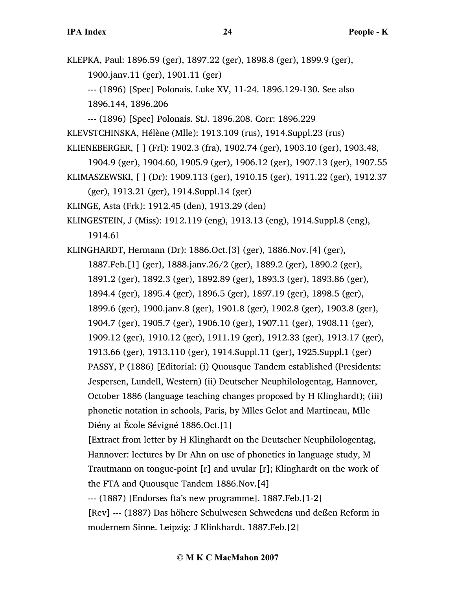KLEPKA, Paul: 1896.59 (ger), 1897.22 (ger), 1898.8 (ger), 1899.9 (ger), 1900.janv.11 (ger), 1901.11 (ger) --- (1896) [Spec] Polonais. Luke XV, 11-24. 1896.129-130. See also 1896.144, 1896.206 --- (1896) [Spec] Polonais. StJ. 1896.208. Corr: 1896.229 KLEVSTCHINSKA, Hélène (Mlle): 1913.109 (rus), 1914.Suppl.23 (rus) KLIENEBERGER, [ ] (Frl): 1902.3 (fra), 1902.74 (ger), 1903.10 (ger), 1903.48, 1904.9 (ger), 1904.60, 1905.9 (ger), 1906.12 (ger), 1907.13 (ger), 1907.55 KLIMASZEWSKI, [ ] (Dr): 1909.113 (ger), 1910.15 (ger), 1911.22 (ger), 1912.37 (ger), 1913.21 (ger), 1914.Suppl.14 (ger) KLINGE, Asta (Frk): 1912.45 (den), 1913.29 (den) KLINGESTEIN, J (Miss): 1912.119 (eng), 1913.13 (eng), 1914.Suppl.8 (eng), 1914.61 KLINGHARDT, Hermann (Dr): 1886.Oct.[3] (ger), 1886.Nov.[4] (ger), 1887.Feb.[1] (ger), 1888.janv.26/2 (ger), 1889.2 (ger), 1890.2 (ger), 1891.2 (ger), 1892.3 (ger), 1892.89 (ger), 1893.3 (ger), 1893.86 (ger), 1894.4 (ger), 1895.4 (ger), 1896.5 (ger), 1897.19 (ger), 1898.5 (ger), 1899.6 (ger), 1900.janv.8 (ger), 1901.8 (ger), 1902.8 (ger), 1903.8 (ger), 1904.7 (ger), 1905.7 (ger), 1906.10 (ger), 1907.11 (ger), 1908.11 (ger), 1909.12 (ger), 1910.12 (ger), 1911.19 (ger), 1912.33 (ger), 1913.17 (ger), 1913.66 (ger), 1913.110 (ger), 1914.Suppl.11 (ger), 1925.Suppl.1 (ger) PASSY, P (1886) [Editorial: (i) Quousque Tandem established (Presidents: Jespersen, Lundell, Western) (ii) Deutscher Neuphilologentag, Hannover, October 1886 (language teaching changes proposed by H Klinghardt); (iii) phonetic notation in schools, Paris, by Mlles Gelot and Martineau, Mlle Diény at École Sévigné 1886.Oct.[1] [Extract from letter by H Klinghardt on the Deutscher Neuphilologentag, Hannover: lectures by Dr Ahn on use of phonetics in language study, M Trautmann on tongue-point [r] and uvular [r]; Klinghardt on the work of the FTA and Quousque Tandem 1886.Nov.[4]

--- (1887) [Endorses fta's new programme]. 1887.Feb.[1-2]

[Rev] --- (1887) Das höhere Schulwesen Schwedens und deßen Reform in modernem Sinne. Leipzig: J Klinkhardt. 1887.Feb.[2]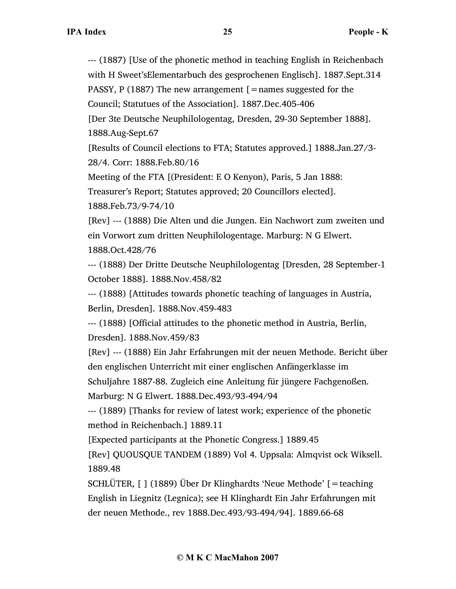--- (1887) [Use of the phonetic method in teaching English in Reichenbach with H Sweet'sElementarbuch des gesprochenen Englisch]. 1887.Sept.314 PASSY, P (1887) The new arrangement  $[$  = names suggested for the

Council; Statutues of the Association]. 1887.Dec.405-406

[Der 3te Deutsche Neuphilologentag, Dresden, 29-30 September 1888]. 1888.Aug-Sept.67

[Results of Council elections to FTA; Statutes approved.] 1888.Jan.27/3- 28/4. Corr: 1888.Feb.80/16

Meeting of the FTA [(President: E O Kenyon), Paris, 5 Jan 1888:

Treasurer's Report; Statutes approved; 20 Councillors elected].

1888.Feb.73/9-74/10

[Rev] --- (1888) Die Alten und die Jungen. Ein Nachwort zum zweiten und ein Vorwort zum dritten Neuphilologentage. Marburg: N G Elwert. 1888.Oct.428/76

--- (1888) Der Dritte Deutsche Neuphilologentag [Dresden, 28 September-1 October 1888]. 1888.Nov.458/82

--- (1888) [Attitudes towards phonetic teaching of languages in Austria, Berlin, Dresden]. 1888.Nov.459-483

--- (1888) [Official attitudes to the phonetic method in Austria, Berlin, Dresden]. 1888.Nov.459/83

[Rev] --- (1888) Ein Jahr Erfahrungen mit der neuen Methode. Bericht über den englischen Unterricht mit einer englischen Anfängerklasse im

Schuljahre 1887-88. Zugleich eine Anleitung für jüngere Fachgenoßen.

Marburg: N G Elwert. 1888.Dec.493/93-494/94

--- (1889) [Thanks for review of latest work; experience of the phonetic method in Reichenbach.] 1889.11

[Expected participants at the Phonetic Congress.] 1889.45

[Rev] QUOUSQUE TANDEM (1889) Vol 4. Uppsala: Almqvist ock Wiksell. 1889.48

SCHLÜTER, [ ] (1889) Über Dr Klinghardts 'Neue Methode' [=teaching English in Liegnitz (Legnica); see H Klinghardt Ein Jahr Erfahrungen mit der neuen Methode., rev 1888.Dec.493/93-494/94]. 1889.66-68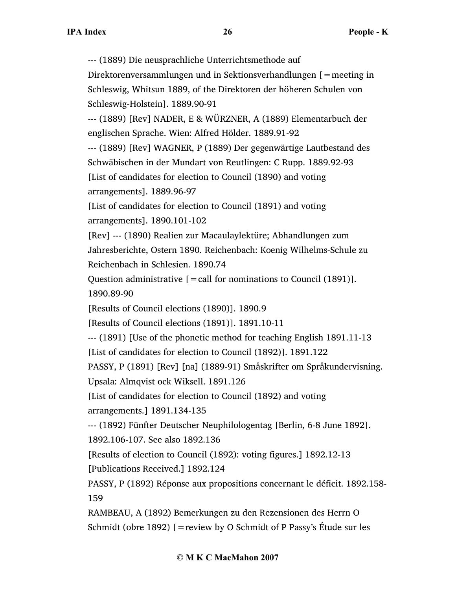--- (1889) Die neusprachliche Unterrichtsmethode auf Direktorenversammlungen und in Sektionsverhandlungen [=meeting in Schleswig, Whitsun 1889, of the Direktoren der höheren Schulen von Schleswig-Holstein]. 1889.90-91 --- (1889) [Rev] NADER, E & WÜRZNER, A (1889) Elementarbuch der englischen Sprache. Wien: Alfred Hölder. 1889.91-92 --- (1889) [Rev] WAGNER, P (1889) Der gegenwärtige Lautbestand des Schwäbischen in der Mundart von Reutlingen: C Rupp. 1889.92-93 [List of candidates for election to Council (1890) and voting arrangements]. 1889.96-97 [List of candidates for election to Council (1891) and voting arrangements]. 1890.101-102 [Rev] --- (1890) Realien zur Macaulaylektüre; Abhandlungen zum Jahresberichte, Ostern 1890. Reichenbach: Koenig Wilhelms-Schule zu Reichenbach in Schlesien. 1890.74 Question administrative  $\mathbf{r} = \text{call for noninations to Council (1891)}$ . 1890.89-90 [Results of Council elections (1890)]. 1890.9 [Results of Council elections (1891)]. 1891.10-11 --- (1891) [Use of the phonetic method for teaching English 1891.11-13 [List of candidates for election to Council (1892)]. 1891.122 PASSY, P (1891) [Rev] [na] (1889-91) Småskrifter om Språkundervisning. Upsala: Almqvist ock Wiksell. 1891.126 [List of candidates for election to Council (1892) and voting arrangements.] 1891.134-135 --- (1892) Fünfter Deutscher Neuphilologentag [Berlin, 6-8 June 1892]. 1892.106-107. See also 1892.136 [Results of election to Council (1892): voting figures.] 1892.12-13 [Publications Received.] 1892.124 PASSY, P (1892) Réponse aux propositions concernant le déficit. 1892.158- 159 RAMBEAU, A (1892) Bemerkungen zu den Rezensionen des Herrn O Schmidt (obre 1892)  $[$  = review by O Schmidt of P Passy's Étude sur les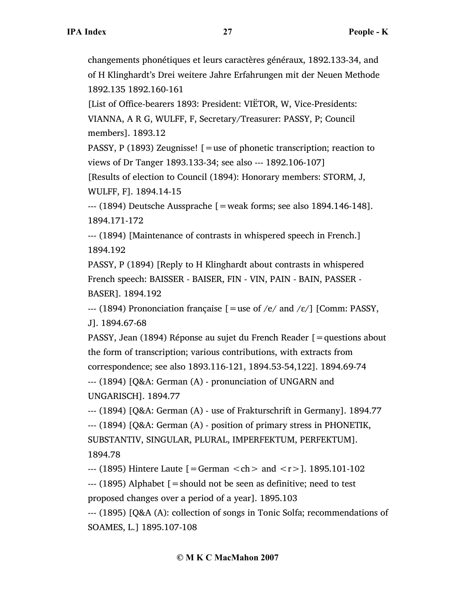changements phonétiques et leurs caractères généraux, 1892.133-34, and of H Klinghardt's Drei weitere Jahre Erfahrungen mit der Neuen Methode 1892.135 1892.160-161

[List of Office-bearers 1893: President: VIËTOR, W, Vice-Presidents:

VIANNA, A R G, WULFF, F, Secretary/Treasurer: PASSY, P; Council members]. 1893.12

PASSY, P (1893) Zeugnisse!  $\mathcal{F}$  = use of phonetic transcription; reaction to views of Dr Tanger 1893.133-34; see also --- 1892.106-107]

[Results of election to Council (1894): Honorary members: STORM, J, WULFF, F]. 1894.14-15

 $-$ -- (1894) Deutsche Aussprache [=weak forms; see also 1894.146-148]. 1894.171-172

--- (1894) [Maintenance of contrasts in whispered speech in French.] 1894.192

PASSY, P (1894) [Reply to H Klinghardt about contrasts in whispered French speech: BAISSER - BAISER, FIN - VIN, PAIN - BAIN, PASSER - BASER]. 1894.192

--- (1894) Prononciation française  $\lceil =$  use of /e/ and /ɛ/] [Comm: PASSY, J]. 1894.67-68

PASSY, Jean (1894) Réponse au sujet du French Reader [=questions about the form of transcription; various contributions, with extracts from correspondence; see also 1893.116-121, 1894.53-54,122]. 1894.69-74

--- (1894) [Q&A: German (A) - pronunciation of UNGARN and UNGARISCH]. 1894.77

--- (1894) [Q&A: German (A) - use of Frakturschrift in Germany]. 1894.77 --- (1894) [Q&A: German (A) - position of primary stress in PHONETIK, SUBSTANTIV, SINGULAR, PLURAL, IMPERFEKTUM, PERFEKTUM]. 1894.78

 $-$  (1895) Hintere Laute  $\lceil$  = German  $\langle$ ch  $>$  and  $\langle$  r  $>$  ]. 1895.101-102

--- (1895) Alphabet [=should not be seen as definitive; need to test proposed changes over a period of a year]. 1895.103

--- (1895) [Q&A (A): collection of songs in Tonic Solfa; recommendations of SOAMES, L.] 1895.107-108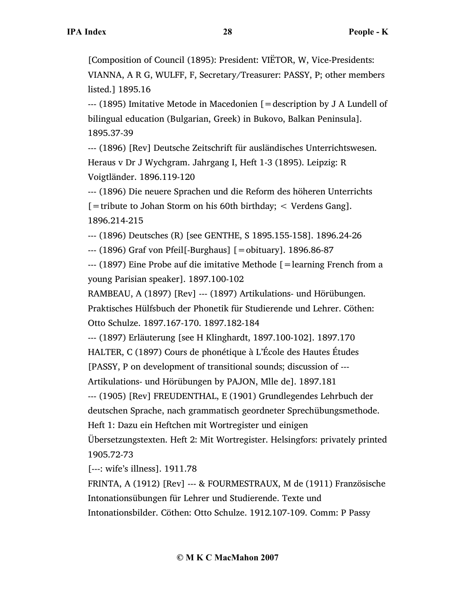[Composition of Council (1895): President: VIËTOR, W, Vice-Presidents: VIANNA, A R G, WULFF, F, Secretary/Treasurer: PASSY, P; other members listed.] 1895.16

 $-$ -- (1895) Imitative Metode in Macedonien  $=$  description by J A Lundell of bilingual education (Bulgarian, Greek) in Bukovo, Balkan Peninsula]. 1895.37-39

--- (1896) [Rev] Deutsche Zeitschrift für ausländisches Unterrichtswesen. Heraus v Dr J Wychgram. Jahrgang I, Heft 1-3 (1895). Leipzig: R Voigtländer. 1896.119-120

--- (1896) Die neuere Sprachen und die Reform des höheren Unterrichts  $\mathcal{L}$  = tribute to Johan Storm on his 60th birthday;  $\lt$  Verdens Gang]. 1896.214-215

--- (1896) Deutsches (R) [see GENTHE, S 1895.155-158]. 1896.24-26

--- (1896) Graf von Pfeil[-Burghaus] [=obituary]. 1896.86-87

--- (1897) Eine Probe auf die imitative Methode [=learning French from a young Parisian speaker]. 1897.100-102

RAMBEAU, A (1897) [Rev] --- (1897) Artikulations- und Hörübungen. Praktisches Hülfsbuch der Phonetik für Studierende und Lehrer. Cöthen: Otto Schulze. 1897.167-170. 1897.182-184

--- (1897) Erläuterung [see H Klinghardt, 1897.100-102]. 1897.170

HALTER, C (1897) Cours de phonétique à L'École des Hautes Études

[PASSY, P on development of transitional sounds; discussion of ---

Artikulations- und Hörübungen by PAJON, Mlle de]. 1897.181

--- (1905) [Rev] FREUDENTHAL, E (1901) Grundlegendes Lehrbuch der deutschen Sprache, nach grammatisch geordneter Sprechübungsmethode.

Heft 1: Dazu ein Heftchen mit Wortregister und einigen

Übersetzungstexten. Heft 2: Mit Wortregister. Helsingfors: privately printed 1905.72-73

[---: wife's illness]. 1911.78

FRINTA, A (1912) [Rev] --- & FOURMESTRAUX, M de (1911) Französische Intonationsübungen für Lehrer und Studierende. Texte und Intonationsbilder. Cöthen: Otto Schulze. 1912.107-109. Comm: P Passy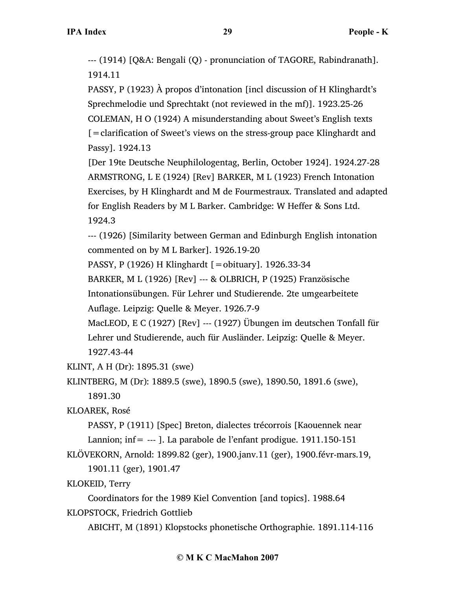--- (1914) [Q&A: Bengali (Q) - pronunciation of TAGORE, Rabindranath]. 1914.11

PASSY, P (1923) À propos d'intonation [incl discussion of H Klinghardt's Sprechmelodie und Sprechtakt (not reviewed in the mf)]. 1923.25-26 COLEMAN, H O (1924) A misunderstanding about Sweet's English texts [=clarification of Sweet's views on the stress-group pace Klinghardt and Passy]. 1924.13

[Der 19te Deutsche Neuphilologentag, Berlin, October 1924]. 1924.27-28 ARMSTRONG, L E (1924) [Rev] BARKER, M L (1923) French Intonation Exercises, by H Klinghardt and M de Fourmestraux. Translated and adapted for English Readers by M L Barker. Cambridge: W Heffer & Sons Ltd. 1924.3

--- (1926) [Similarity between German and Edinburgh English intonation commented on by M L Barker]. 1926.19-20

PASSY, P (1926) H Klinghardt [=obituary]. 1926.33-34

BARKER, M L (1926) [Rev] --- & OLBRICH, P (1925) Französische

Intonationsübungen. Für Lehrer und Studierende. 2te umgearbeitete Auflage. Leipzig: Quelle & Meyer. 1926.7-9

MacLEOD, E C (1927) [Rev] --- (1927) Übungen im deutschen Tonfall für Lehrer und Studierende, auch für Ausländer. Leipzig: Quelle & Meyer. 1927.43-44

KLINT, A H (Dr): 1895.31 (swe)

KLINTBERG, M (Dr): 1889.5 (swe), 1890.5 (swe), 1890.50, 1891.6 (swe),

1891.30

KLOAREK, Rosé

PASSY, P (1911) [Spec] Breton, dialectes trécorrois [Kaouennek near Lannion; inf=  $-$ -- ]. La parabole de l'enfant prodigue. 1911.150-151

KLÖVEKORN, Arnold: 1899.82 (ger), 1900.janv.11 (ger), 1900.févr-mars.19,

1901.11 (ger), 1901.47

KLOKEID, Terry

Coordinators for the 1989 Kiel Convention [and topics]. 1988.64 KLOPSTOCK, Friedrich Gottlieb

ABICHT, M (1891) Klopstocks phonetische Orthographie. 1891.114-116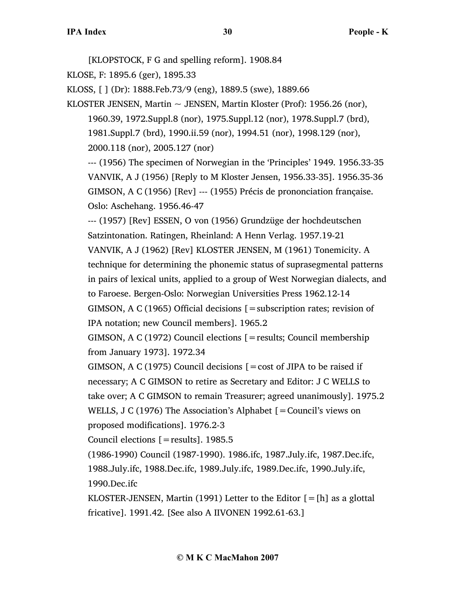[KLOPSTOCK, F G and spelling reform]. 1908.84 KLOSE, F: 1895.6 (ger), 1895.33 KLOSS, [ ] (Dr): 1888.Feb.73/9 (eng), 1889.5 (swe), 1889.66 KLOSTER JENSEN, Martin  $\sim$  JENSEN, Martin Kloster (Prof): 1956.26 (nor), 1960.39, 1972.Suppl.8 (nor), 1975.Suppl.12 (nor), 1978.Suppl.7 (brd), 1981.Suppl.7 (brd), 1990.ii.59 (nor), 1994.51 (nor), 1998.129 (nor), 2000.118 (nor), 2005.127 (nor) --- (1956) The specimen of Norwegian in the 'Principles' 1949. 1956.33-35 VANVIK, A J (1956) [Reply to M Kloster Jensen, 1956.33-35]. 1956.35-36 GIMSON, A C (1956) [Rev] --- (1955) Précis de prononciation française. Oslo: Aschehang. 1956.46-47 --- (1957) [Rev] ESSEN, O von (1956) Grundzüge der hochdeutschen Satzintonation. Ratingen, Rheinland: A Henn Verlag. 1957.19-21 VANVIK, A J (1962) [Rev] KLOSTER JENSEN, M (1961) Tonemicity. A technique for determining the phonemic status of suprasegmental patterns in pairs of lexical units, applied to a group of West Norwegian dialects, and to Faroese. Bergen-Oslo: Norwegian Universities Press 1962.12-14 GIMSON, A C (1965) Official decisions  $[$  = subscription rates; revision of IPA notation; new Council members]. 1965.2 GIMSON, A C (1972) Council elections [=results; Council membership from January 1973]. 1972.34 GIMSON, A C (1975) Council decisions  $[ = \text{cost of JIPA to be raised if}]$ necessary; A C GIMSON to retire as Secretary and Editor: J C WELLS to take over; A C GIMSON to remain Treasurer; agreed unanimously]. 1975.2 WELLS, J C (1976) The Association's Alphabet  $[=$  Council's views on proposed modifications]. 1976.2-3 Council elections  $[=$  results]. 1985.5 (1986-1990) Council (1987-1990). 1986.ifc, 1987.July.ifc, 1987.Dec.ifc, 1988.July.ifc, 1988.Dec.ifc, 1989.July.ifc, 1989.Dec.ifc, 1990.July.ifc, 1990.Dec.ifc KLOSTER-JENSEN, Martin (1991) Letter to the Editor  $[= [h]$  as a glottal fricative]. 1991.42. [See also A IIVONEN 1992.61-63.]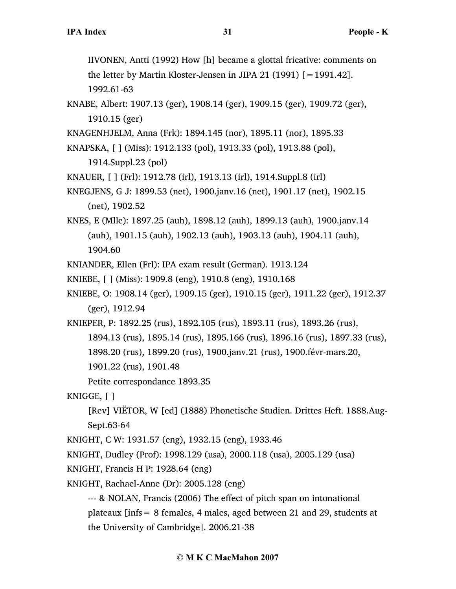IIVONEN, Antti (1992) How [h] became a glottal fricative: comments on the letter by Martin Kloster-Jensen in JIPA 21 (1991) [=1991.42]. 1992.61-63

KNABE, Albert: 1907.13 (ger), 1908.14 (ger), 1909.15 (ger), 1909.72 (ger), 1910.15 (ger)

KNAGENHJELM, Anna (Frk): 1894.145 (nor), 1895.11 (nor), 1895.33

```
KNAPSKA, [ ] (Miss): 1912.133 (pol), 1913.33 (pol), 1913.88 (pol),
```
1914.Suppl.23 (pol)

KNAUER, [ ] (Frl): 1912.78 (irl), 1913.13 (irl), 1914.Suppl.8 (irl)

KNEGJENS, G J: 1899.53 (net), 1900.janv.16 (net), 1901.17 (net), 1902.15 (net), 1902.52

KNES, E (Mlle): 1897.25 (auh), 1898.12 (auh), 1899.13 (auh), 1900.janv.14 (auh), 1901.15 (auh), 1902.13 (auh), 1903.13 (auh), 1904.11 (auh), 1904.60

KNIANDER, Ellen (Frl): IPA exam result (German). 1913.124

KNIEBE, [ ] (Miss): 1909.8 (eng), 1910.8 (eng), 1910.168

KNIEBE, O: 1908.14 (ger), 1909.15 (ger), 1910.15 (ger), 1911.22 (ger), 1912.37 (ger), 1912.94

KNIEPER, P: 1892.25 (rus), 1892.105 (rus), 1893.11 (rus), 1893.26 (rus), 1894.13 (rus), 1895.14 (rus), 1895.166 (rus), 1896.16 (rus), 1897.33 (rus), 1898.20 (rus), 1899.20 (rus), 1900.janv.21 (rus), 1900.févr-mars.20, 1901.22 (rus), 1901.48

Petite correspondance 1893.35

KNIGGE, [ ]

[Rev] VIËTOR, W [ed] (1888) Phonetische Studien. Drittes Heft. 1888.Aug-Sept.63-64

KNIGHT, C W: 1931.57 (eng), 1932.15 (eng), 1933.46

KNIGHT, Dudley (Prof): 1998.129 (usa), 2000.118 (usa), 2005.129 (usa)

KNIGHT, Francis H P: 1928.64 (eng)

KNIGHT, Rachael-Anne (Dr): 2005.128 (eng)

--- & NOLAN, Francis (2006) The effect of pitch span on intonational plateaux [infs= 8 females, 4 males, aged between 21 and 29, students at the University of Cambridge]. 2006.21-38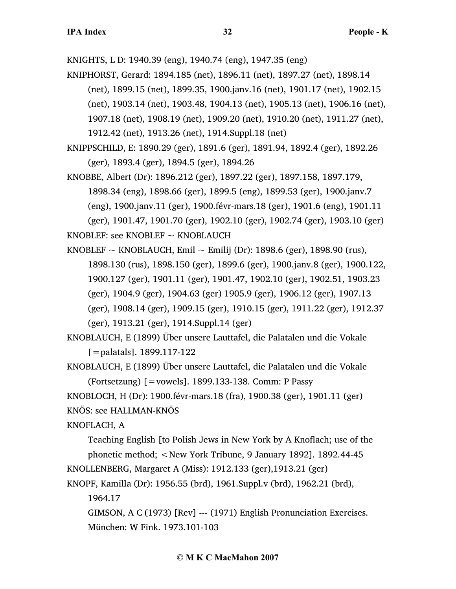KNIGHTS, L D: 1940.39 (eng), 1940.74 (eng), 1947.35 (eng)

- KNIPHORST, Gerard: 1894.185 (net), 1896.11 (net), 1897.27 (net), 1898.14 (net), 1899.15 (net), 1899.35, 1900.janv.16 (net), 1901.17 (net), 1902.15 (net), 1903.14 (net), 1903.48, 1904.13 (net), 1905.13 (net), 1906.16 (net), 1907.18 (net), 1908.19 (net), 1909.20 (net), 1910.20 (net), 1911.27 (net), 1912.42 (net), 1913.26 (net), 1914.Suppl.18 (net)
- KNIPPSCHILD, E: 1890.29 (ger), 1891.6 (ger), 1891.94, 1892.4 (ger), 1892.26 (ger), 1893.4 (ger), 1894.5 (ger), 1894.26
- KNOBBE, Albert (Dr): 1896.212 (ger), 1897.22 (ger), 1897.158, 1897.179, 1898.34 (eng), 1898.66 (ger), 1899.5 (eng), 1899.53 (ger), 1900.janv.7 (eng), 1900.janv.11 (ger), 1900.févr-mars.18 (ger), 1901.6 (eng), 1901.11 (ger), 1901.47, 1901.70 (ger), 1902.10 (ger), 1902.74 (ger), 1903.10 (ger)
- KNOBLEF: see KNOBLEF  $\sim$  KNOBLAUCH
- KNOBLEF ~ KNOBLAUCH, Emil ~ Emilij (Dr): 1898.6 (ger), 1898.90 (rus), 1898.130 (rus), 1898.150 (ger), 1899.6 (ger), 1900.janv.8 (ger), 1900.122, 1900.127 (ger), 1901.11 (ger), 1901.47, 1902.10 (ger), 1902.51, 1903.23 (ger), 1904.9 (ger), 1904.63 (ger) 1905.9 (ger), 1906.12 (ger), 1907.13 (ger), 1908.14 (ger), 1909.15 (ger), 1910.15 (ger), 1911.22 (ger), 1912.37 (ger), 1913.21 (ger), 1914.Suppl.14 (ger)
- KNOBLAUCH, E (1899) Über unsere Lauttafel, die Palatalen und die Vokale [=palatals]. 1899.117-122
- KNOBLAUCH, E (1899) Über unsere Lauttafel, die Palatalen und die Vokale  $(For \text{tetzung})$  [ = vowels]. 1899.133-138. Comm: P Passy

```
KNOBLOCH, H (Dr): 1900.févr-mars.18 (fra), 1900.38 (ger), 1901.11 (ger)
KNÖS: see HALLMAN-KNÖS
```
KNOFLACH, A

Teaching English [to Polish Jews in New York by A Knoflach; use of the phonetic method; <New York Tribune, 9 January 1892]. 1892.44-45

```
KNOLLENBERG, Margaret A (Miss): 1912.133 (ger),1913.21 (ger)
```

```
KNOPF, Kamilla (Dr): 1956.55 (brd), 1961.Suppl.v (brd), 1962.21 (brd),
```
1964.17

GIMSON, A C (1973) [Rev] --- (1971) English Pronunciation Exercises. München: W Fink. 1973.101-103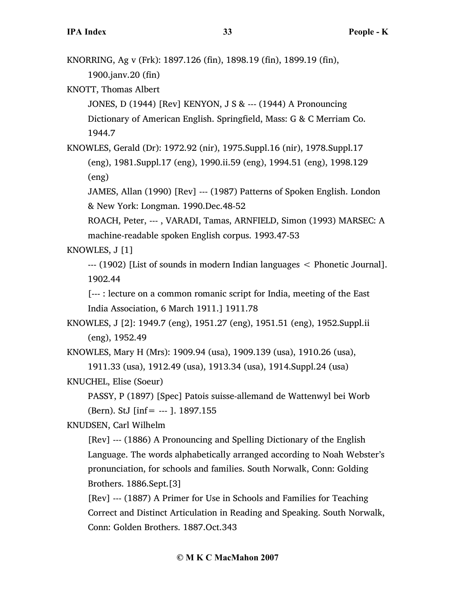KNORRING, Ag v (Frk): 1897.126 (fin), 1898.19 (fin), 1899.19 (fin), 1900.janv.20 (fin)

KNOTT, Thomas Albert

JONES, D (1944) [Rev] KENYON, J S & --- (1944) A Pronouncing Dictionary of American English. Springfield, Mass: G & C Merriam Co. 1944.7

KNOWLES, Gerald (Dr): 1972.92 (nir), 1975.Suppl.16 (nir), 1978.Suppl.17 (eng), 1981.Suppl.17 (eng), 1990.ii.59 (eng), 1994.51 (eng), 1998.129 (eng)

JAMES, Allan (1990) [Rev] --- (1987) Patterns of Spoken English. London & New York: Longman. 1990.Dec.48-52

ROACH, Peter, --- , VARADI, Tamas, ARNFIELD, Simon (1993) MARSEC: A machine-readable spoken English corpus. 1993.47-53

KNOWLES, J [1]

--- (1902) [List of sounds in modern Indian languages < Phonetic Journal]. 1902.44

[--- : lecture on a common romanic script for India, meeting of the East India Association, 6 March 1911.] 1911.78

KNOWLES, J [2]: 1949.7 (eng), 1951.27 (eng), 1951.51 (eng), 1952.Suppl.ii (eng), 1952.49

KNOWLES, Mary H (Mrs): 1909.94 (usa), 1909.139 (usa), 1910.26 (usa),

1911.33 (usa), 1912.49 (usa), 1913.34 (usa), 1914.Suppl.24 (usa)

KNUCHEL, Elise (Soeur)

PASSY, P (1897) [Spec] Patois suisse-allemand de Wattenwyl bei Worb (Bern). StJ [inf= --- ]. 1897.155

KNUDSEN, Carl Wilhelm

[Rev] --- (1886) A Pronouncing and Spelling Dictionary of the English Language. The words alphabetically arranged according to Noah Webster's pronunciation, for schools and families. South Norwalk, Conn: Golding Brothers. 1886.Sept.[3]

[Rev] --- (1887) A Primer for Use in Schools and Families for Teaching Correct and Distinct Articulation in Reading and Speaking. South Norwalk, Conn: Golden Brothers. 1887.Oct.343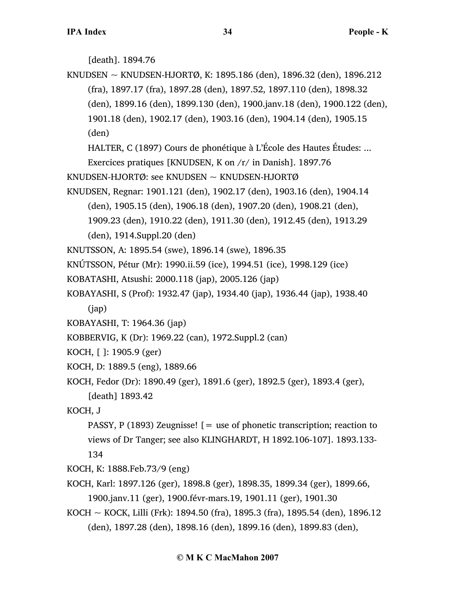[death]. 1894.76 KNUDSEN ~ KNUDSEN-HJORTØ, K: 1895.186 (den), 1896.32 (den), 1896.212 (fra), 1897.17 (fra), 1897.28 (den), 1897.52, 1897.110 (den), 1898.32 (den), 1899.16 (den), 1899.130 (den), 1900.janv.18 (den), 1900.122 (den), 1901.18 (den), 1902.17 (den), 1903.16 (den), 1904.14 (den), 1905.15 (den) HALTER, C (1897) Cours de phonétique à L'École des Hautes Études: ... Exercices pratiques [KNUDSEN, K on /r/ in Danish]. 1897.76 KNUDSEN-HJORTØ: see KNUDSEN ~ KNUDSEN-HJORTØ KNUDSEN, Regnar: 1901.121 (den), 1902.17 (den), 1903.16 (den), 1904.14 (den), 1905.15 (den), 1906.18 (den), 1907.20 (den), 1908.21 (den), 1909.23 (den), 1910.22 (den), 1911.30 (den), 1912.45 (den), 1913.29 (den), 1914.Suppl.20 (den) KNUTSSON, A: 1895.54 (swe), 1896.14 (swe), 1896.35 KNÚTSSON, Pétur (Mr): 1990.ii.59 (ice), 1994.51 (ice), 1998.129 (ice) KOBATASHI, Atsushi: 2000.118 (jap), 2005.126 (jap) KOBAYASHI, S (Prof): 1932.47 (jap), 1934.40 (jap), 1936.44 (jap), 1938.40 (jap) KOBAYASHI, T: 1964.36 (jap) KOBBERVIG, K (Dr): 1969.22 (can), 1972.Suppl.2 (can) KOCH, [ ]: 1905.9 (ger) KOCH, D: 1889.5 (eng), 1889.66 KOCH, Fedor (Dr): 1890.49 (ger), 1891.6 (ger), 1892.5 (ger), 1893.4 (ger), [death] 1893.42 KOCH, J PASSY, P (1893) Zeugnisse! [= use of phonetic transcription; reaction to views of Dr Tanger; see also KLINGHARDT, H 1892.106-107]. 1893.133- 134 KOCH, K: 1888.Feb.73/9 (eng)

KOCH, Karl: 1897.126 (ger), 1898.8 (ger), 1898.35, 1899.34 (ger), 1899.66, 1900.janv.11 (ger), 1900.févr-mars.19, 1901.11 (ger), 1901.30

KOCH  $\sim$  KOCK, Lilli (Frk): 1894.50 (fra), 1895.3 (fra), 1895.54 (den), 1896.12 (den), 1897.28 (den), 1898.16 (den), 1899.16 (den), 1899.83 (den),

# **© M K C MacMahon 2007**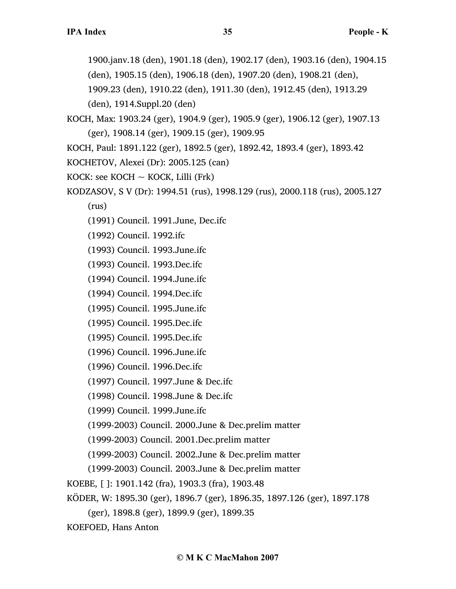1900.janv.18 (den), 1901.18 (den), 1902.17 (den), 1903.16 (den), 1904.15 (den), 1905.15 (den), 1906.18 (den), 1907.20 (den), 1908.21 (den), 1909.23 (den), 1910.22 (den), 1911.30 (den), 1912.45 (den), 1913.29 (den), 1914.Suppl.20 (den)

KOCH, Max: 1903.24 (ger), 1904.9 (ger), 1905.9 (ger), 1906.12 (ger), 1907.13 (ger), 1908.14 (ger), 1909.15 (ger), 1909.95

KOCH, Paul: 1891.122 (ger), 1892.5 (ger), 1892.42, 1893.4 (ger), 1893.42

- KOCHETOV, Alexei (Dr): 2005.125 (can)
- KOCK: see KOCH  $\sim$  KOCK, Lilli (Frk)
- KODZASOV, S V (Dr): 1994.51 (rus), 1998.129 (rus), 2000.118 (rus), 2005.127

(rus)

- (1991) Council. 1991.June, Dec.ifc
- (1992) Council. 1992.ifc
- (1993) Council. 1993.June.ifc
- (1993) Council. 1993.Dec.ifc
- (1994) Council. 1994.June.ifc
- (1994) Council. 1994.Dec.ifc
- (1995) Council. 1995.June.ifc
- (1995) Council. 1995.Dec.ifc
- (1995) Council. 1995.Dec.ifc
- (1996) Council. 1996.June.ifc
- (1996) Council. 1996.Dec.ifc
- (1997) Council. 1997.June & Dec.ifc
- (1998) Council. 1998.June & Dec.ifc
- (1999) Council. 1999.June.ifc
- (1999-2003) Council. 2000.June & Dec.prelim matter
- (1999-2003) Council. 2001.Dec.prelim matter
- (1999-2003) Council. 2002.June & Dec.prelim matter
- (1999-2003) Council. 2003.June & Dec.prelim matter
- KOEBE, [ ]: 1901.142 (fra), 1903.3 (fra), 1903.48
- KÖDER, W: 1895.30 (ger), 1896.7 (ger), 1896.35, 1897.126 (ger), 1897.178
	- (ger), 1898.8 (ger), 1899.9 (ger), 1899.35

KOEFOED, Hans Anton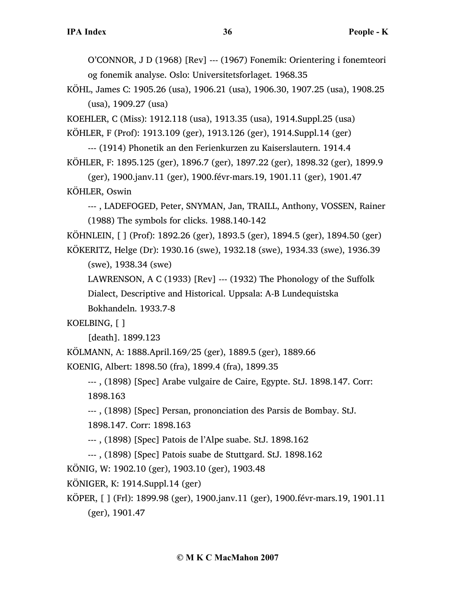O'CONNOR, J D (1968) [Rev] --- (1967) Fonemik: Orientering i fonemteori og fonemik analyse. Oslo: Universitetsforlaget. 1968.35

KÖHL, James C: 1905.26 (usa), 1906.21 (usa), 1906.30, 1907.25 (usa), 1908.25 (usa), 1909.27 (usa)

KOEHLER, C (Miss): 1912.118 (usa), 1913.35 (usa), 1914.Suppl.25 (usa)

KÖHLER, F (Prof): 1913.109 (ger), 1913.126 (ger), 1914.Suppl.14 (ger)

--- (1914) Phonetik an den Ferienkurzen zu Kaiserslautern. 1914.4 KÖHLER, F: 1895.125 (ger), 1896.7 (ger), 1897.22 (ger), 1898.32 (ger), 1899.9

(ger), 1900.janv.11 (ger), 1900.févr-mars.19, 1901.11 (ger), 1901.47 KÖHLER, Oswin

--- , LADEFOGED, Peter, SNYMAN, Jan, TRAILL, Anthony, VOSSEN, Rainer (1988) The symbols for clicks. 1988.140-142

KÖHNLEIN, [ ] (Prof): 1892.26 (ger), 1893.5 (ger), 1894.5 (ger), 1894.50 (ger) KÖKERITZ, Helge (Dr): 1930.16 (swe), 1932.18 (swe), 1934.33 (swe), 1936.39

(swe), 1938.34 (swe)

LAWRENSON, A C (1933) [Rev] --- (1932) The Phonology of the Suffolk Dialect, Descriptive and Historical. Uppsala: A-B Lundequistska Bokhandeln. 1933.7-8

KOELBING, [ ]

[death]. 1899.123

KÖLMANN, A: 1888.April.169/25 (ger), 1889.5 (ger), 1889.66

KOENIG, Albert: 1898.50 (fra), 1899.4 (fra), 1899.35

--- , (1898) [Spec] Arabe vulgaire de Caire, Egypte. StJ. 1898.147. Corr: 1898.163

--- , (1898) [Spec] Persan, prononciation des Parsis de Bombay. StJ.

1898.147. Corr: 1898.163

--- , (1898) [Spec] Patois de l'Alpe suabe. StJ. 1898.162

--- , (1898) [Spec] Patois suabe de Stuttgard. StJ. 1898.162

KÖNIG, W: 1902.10 (ger), 1903.10 (ger), 1903.48

KÖNIGER, K: 1914.Suppl.14 (ger)

KÖPER, [ ] (Frl): 1899.98 (ger), 1900.janv.11 (ger), 1900.févr-mars.19, 1901.11 (ger), 1901.47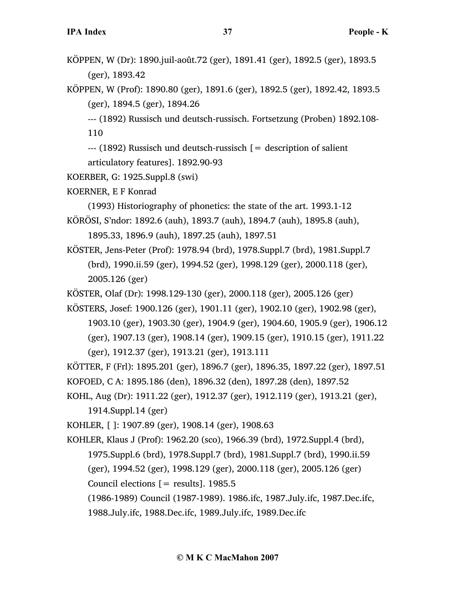KÖPPEN, W (Dr): 1890.juil-août.72 (ger), 1891.41 (ger), 1892.5 (ger), 1893.5 (ger), 1893.42

KÖPPEN, W (Prof): 1890.80 (ger), 1891.6 (ger), 1892.5 (ger), 1892.42, 1893.5 (ger), 1894.5 (ger), 1894.26

--- (1892) Russisch und deutsch-russisch. Fortsetzung (Proben) 1892.108- 110

 $-$ --- (1892) Russisch und deutsch-russisch  $=$  description of salient articulatory features]. 1892.90-93

KOERBER, G: 1925.Suppl.8 (swi)

KOERNER, E F Konrad

(1993) Historiography of phonetics: the state of the art. 1993.1-12 KÖRÖSI, S'ndor: 1892.6 (auh), 1893.7 (auh), 1894.7 (auh), 1895.8 (auh),

1895.33, 1896.9 (auh), 1897.25 (auh), 1897.51

KÖSTER, Jens-Peter (Prof): 1978.94 (brd), 1978.Suppl.7 (brd), 1981.Suppl.7 (brd), 1990.ii.59 (ger), 1994.52 (ger), 1998.129 (ger), 2000.118 (ger), 2005.126 (ger)

KÖSTER, Olaf (Dr): 1998.129-130 (ger), 2000.118 (ger), 2005.126 (ger)

KÖSTERS, Josef: 1900.126 (ger), 1901.11 (ger), 1902.10 (ger), 1902.98 (ger),

1903.10 (ger), 1903.30 (ger), 1904.9 (ger), 1904.60, 1905.9 (ger), 1906.12 (ger), 1907.13 (ger), 1908.14 (ger), 1909.15 (ger), 1910.15 (ger), 1911.22 (ger), 1912.37 (ger), 1913.21 (ger), 1913.111

KÖTTER, F (Frl): 1895.201 (ger), 1896.7 (ger), 1896.35, 1897.22 (ger), 1897.51

KOFOED, C A: 1895.186 (den), 1896.32 (den), 1897.28 (den), 1897.52

KOHL, Aug (Dr): 1911.22 (ger), 1912.37 (ger), 1912.119 (ger), 1913.21 (ger), 1914.Suppl.14 (ger)

KOHLER, [ ]: 1907.89 (ger), 1908.14 (ger), 1908.63

KOHLER, Klaus J (Prof): 1962.20 (sco), 1966.39 (brd), 1972.Suppl.4 (brd), 1975.Suppl.6 (brd), 1978.Suppl.7 (brd), 1981.Suppl.7 (brd), 1990.ii.59 (ger), 1994.52 (ger), 1998.129 (ger), 2000.118 (ger), 2005.126 (ger) Council elections  $[=$  results]. 1985.5

(1986-1989) Council (1987-1989). 1986.ifc, 1987.July.ifc, 1987.Dec.ifc, 1988.July.ifc, 1988.Dec.ifc, 1989.July.ifc, 1989.Dec.ifc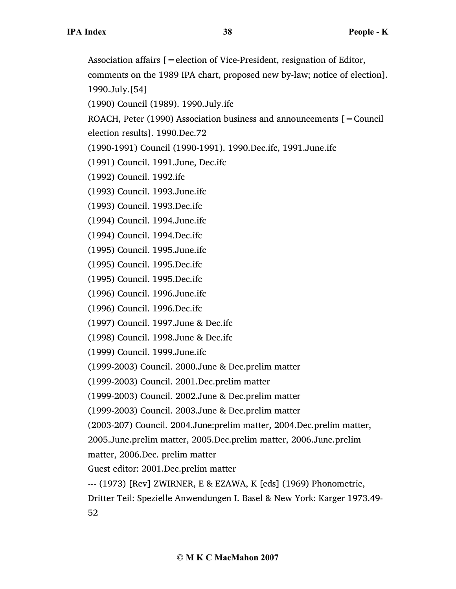Association affairs [=election of Vice-President, resignation of Editor,

comments on the 1989 IPA chart, proposed new by-law; notice of election].

1990.July.[54]

(1990) Council (1989). 1990.July.ifc

ROACH, Peter (1990) Association business and announcements [=Council

election results]. 1990.Dec.72

(1990-1991) Council (1990-1991). 1990.Dec.ifc, 1991.June.ifc

(1991) Council. 1991.June, Dec.ifc

(1992) Council. 1992.ifc

(1993) Council. 1993.June.ifc

(1993) Council. 1993.Dec.ifc

(1994) Council. 1994.June.ifc

(1994) Council. 1994.Dec.ifc

(1995) Council. 1995.June.ifc

- (1995) Council. 1995.Dec.ifc
- (1995) Council. 1995.Dec.ifc
- (1996) Council. 1996.June.ifc
- (1996) Council. 1996.Dec.ifc

(1997) Council. 1997.June & Dec.ifc

(1998) Council. 1998.June & Dec.ifc

(1999) Council. 1999.June.ifc

(1999-2003) Council. 2000.June & Dec.prelim matter

(1999-2003) Council. 2001.Dec.prelim matter

(1999-2003) Council. 2002.June & Dec.prelim matter

(1999-2003) Council. 2003.June & Dec.prelim matter

(2003-207) Council. 2004.June:prelim matter, 2004.Dec.prelim matter,

2005.June.prelim matter, 2005.Dec.prelim matter, 2006.June.prelim

matter, 2006.Dec. prelim matter

Guest editor: 2001.Dec.prelim matter

--- (1973) [Rev] ZWIRNER, E & EZAWA, K [eds] (1969) Phonometrie,

Dritter Teil: Spezielle Anwendungen I. Basel & New York: Karger 1973.49- 52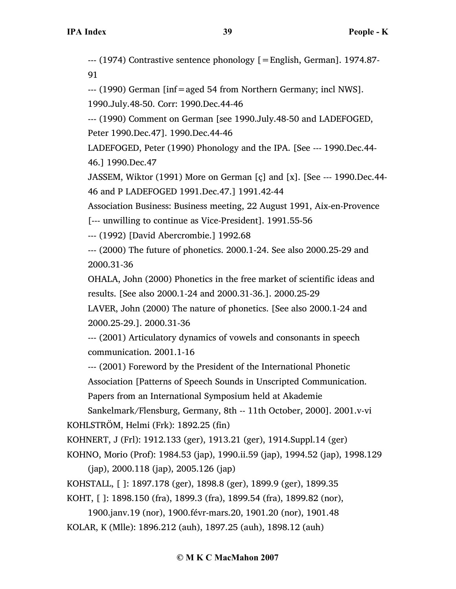--- (1974) Contrastive sentence phonology [=English, German]. 1974.87- 91

--- (1990) German [inf=aged 54 from Northern Germany; incl NWS].

1990.July.48-50. Corr: 1990.Dec.44-46

--- (1990) Comment on German [see 1990.July.48-50 and LADEFOGED, Peter 1990.Dec.47]. 1990.Dec.44-46

LADEFOGED, Peter (1990) Phonology and the IPA. [See --- 1990.Dec.44- 46.] 1990.Dec.47

JASSEM, Wiktor (1991) More on German [ç] and [x]. [See --- 1990.Dec.44- 46 and P LADEFOGED 1991.Dec.47.] 1991.42-44

Association Business: Business meeting, 22 August 1991, Aix-en-Provence

[--- unwilling to continue as Vice-President]. 1991.55-56

--- (1992) [David Abercrombie.] 1992.68

--- (2000) The future of phonetics. 2000.1-24. See also 2000.25-29 and 2000.31-36

OHALA, John (2000) Phonetics in the free market of scientific ideas and results. [See also 2000.1-24 and 2000.31-36.]. 2000.25-29

LAVER, John (2000) The nature of phonetics. [See also 2000.1-24 and 2000.25-29.]. 2000.31-36

--- (2001) Articulatory dynamics of vowels and consonants in speech communication. 2001.1-16

--- (2001) Foreword by the President of the International Phonetic

Association [Patterns of Speech Sounds in Unscripted Communication.

Papers from an International Symposium held at Akademie

Sankelmark/Flensburg, Germany, 8th -- 11th October, 2000]. 2001.v-vi KOHLSTRÖM, Helmi (Frk): 1892.25 (fin)

KOHNERT, J (Frl): 1912.133 (ger), 1913.21 (ger), 1914.Suppl.14 (ger)

KOHNO, Morio (Prof): 1984.53 (jap), 1990.ii.59 (jap), 1994.52 (jap), 1998.129

(jap), 2000.118 (jap), 2005.126 (jap)

KOHSTALL, [ ]: 1897.178 (ger), 1898.8 (ger), 1899.9 (ger), 1899.35

KOHT, [ ]: 1898.150 (fra), 1899.3 (fra), 1899.54 (fra), 1899.82 (nor),

1900.janv.19 (nor), 1900.févr-mars.20, 1901.20 (nor), 1901.48 KOLAR, K (Mlle): 1896.212 (auh), 1897.25 (auh), 1898.12 (auh)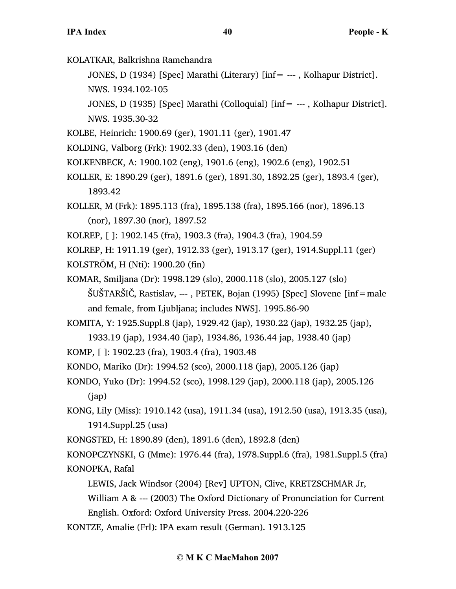- KOLATKAR, Balkrishna Ramchandra
	- JONES, D (1934) [Spec] Marathi (Literary) [inf= --- , Kolhapur District].
	- NWS. 1934.102-105
	- JONES, D (1935) [Spec] Marathi (Colloquial) [inf= --- , Kolhapur District]. NWS. 1935.30-32
- KOLBE, Heinrich: 1900.69 (ger), 1901.11 (ger), 1901.47
- KOLDING, Valborg (Frk): 1902.33 (den), 1903.16 (den)
- KOLKENBECK, A: 1900.102 (eng), 1901.6 (eng), 1902.6 (eng), 1902.51
- KOLLER, E: 1890.29 (ger), 1891.6 (ger), 1891.30, 1892.25 (ger), 1893.4 (ger), 1893.42
- KOLLER, M (Frk): 1895.113 (fra), 1895.138 (fra), 1895.166 (nor), 1896.13 (nor), 1897.30 (nor), 1897.52
- KOLREP, [ ]: 1902.145 (fra), 1903.3 (fra), 1904.3 (fra), 1904.59
- KOLREP, H: 1911.19 (ger), 1912.33 (ger), 1913.17 (ger), 1914.Suppl.11 (ger)
- KOLSTRÖM, H (Nti): 1900.20 (fin)
- KOMAR, Smiljana (Dr): 1998.129 (slo), 2000.118 (slo), 2005.127 (slo) ŠUŠTARŠIČ, Rastislav, --- , PETEK, Bojan (1995) [Spec] Slovene [inf=male and female, from Ljubljana; includes NWS]. 1995.86-90

KOMITA, Y: 1925.Suppl.8 (jap), 1929.42 (jap), 1930.22 (jap), 1932.25 (jap),

1933.19 (jap), 1934.40 (jap), 1934.86, 1936.44 jap, 1938.40 (jap)

KOMP, [ ]: 1902.23 (fra), 1903.4 (fra), 1903.48

- KONDO, Mariko (Dr): 1994.52 (sco), 2000.118 (jap), 2005.126 (jap)
- KONDO, Yuko (Dr): 1994.52 (sco), 1998.129 (jap), 2000.118 (jap), 2005.126 (jap)
- KONG, Lily (Miss): 1910.142 (usa), 1911.34 (usa), 1912.50 (usa), 1913.35 (usa), 1914.Suppl.25 (usa)
- KONGSTED, H: 1890.89 (den), 1891.6 (den), 1892.8 (den)
- KONOPCZYNSKI, G (Mme): 1976.44 (fra), 1978.Suppl.6 (fra), 1981.Suppl.5 (fra) KONOPKA, Rafal
	- LEWIS, Jack Windsor (2004) [Rev] UPTON, Clive, KRETZSCHMAR Jr,
	- William A & --- (2003) The Oxford Dictionary of Pronunciation for Current
	- English. Oxford: Oxford University Press. 2004.220-226
- KONTZE, Amalie (Frl): IPA exam result (German). 1913.125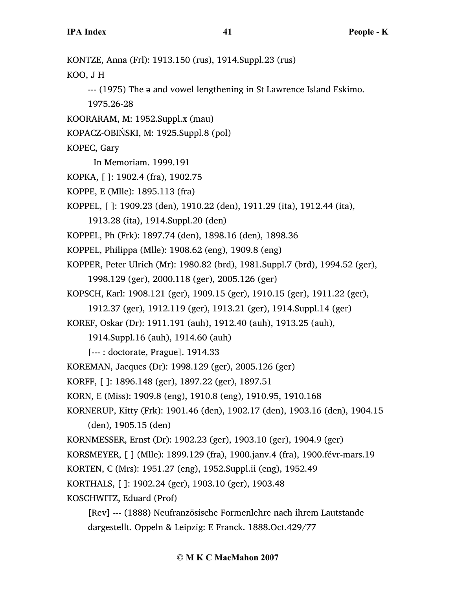- KONTZE, Anna (Frl): 1913.150 (rus), 1914.Suppl.23 (rus)
- KOO, J H
	- --- (1975) The ə and vowel lengthening in St Lawrence Island Eskimo.
	- 1975.26-28
- KOORARAM, M: 1952.Suppl.x (mau)
- KOPACZ-OBIŃSKI, M: 1925.Suppl.8 (pol)
- KOPEC, Gary
	- In Memoriam. 1999.191
- KOPKA, [ ]: 1902.4 (fra), 1902.75
- KOPPE, E (Mlle): 1895.113 (fra)
- KOPPEL, [ ]: 1909.23 (den), 1910.22 (den), 1911.29 (ita), 1912.44 (ita),
	- 1913.28 (ita), 1914.Suppl.20 (den)
- KOPPEL, Ph (Frk): 1897.74 (den), 1898.16 (den), 1898.36
- KOPPEL, Philippa (Mlle): 1908.62 (eng), 1909.8 (eng)
- KOPPER, Peter Ulrich (Mr): 1980.82 (brd), 1981.Suppl.7 (brd), 1994.52 (ger),
	- 1998.129 (ger), 2000.118 (ger), 2005.126 (ger)
- KOPSCH, Karl: 1908.121 (ger), 1909.15 (ger), 1910.15 (ger), 1911.22 (ger),
	- 1912.37 (ger), 1912.119 (ger), 1913.21 (ger), 1914.Suppl.14 (ger)

KOREF, Oskar (Dr): 1911.191 (auh), 1912.40 (auh), 1913.25 (auh),

- 1914.Suppl.16 (auh), 1914.60 (auh)
- [--- : doctorate, Prague]. 1914.33
- KOREMAN, Jacques (Dr): 1998.129 (ger), 2005.126 (ger)
- KORFF, [ ]: 1896.148 (ger), 1897.22 (ger), 1897.51
- KORN, E (Miss): 1909.8 (eng), 1910.8 (eng), 1910.95, 1910.168
- KORNERUP, Kitty (Frk): 1901.46 (den), 1902.17 (den), 1903.16 (den), 1904.15
	- (den), 1905.15 (den)
- KORNMESSER, Ernst (Dr): 1902.23 (ger), 1903.10 (ger), 1904.9 (ger)
- KORSMEYER, [ ] (Mlle): 1899.129 (fra), 1900.janv.4 (fra), 1900.févr-mars.19
- KORTEN, C (Mrs): 1951.27 (eng), 1952.Suppl.ii (eng), 1952.49
- KORTHALS, [ ]: 1902.24 (ger), 1903.10 (ger), 1903.48
- KOSCHWITZ, Eduard (Prof)
	- [Rev] --- (1888) Neufranzösische Formenlehre nach ihrem Lautstande dargestellt. Oppeln & Leipzig: E Franck. 1888.Oct.429/77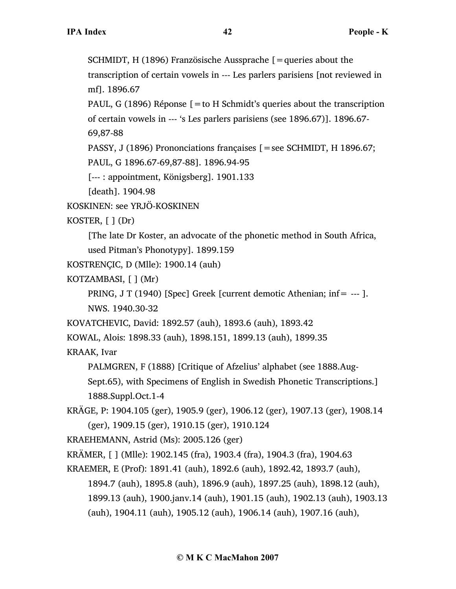SCHMIDT, H (1896) Französische Aussprache [=queries about the transcription of certain vowels in --- Les parlers parisiens [not reviewed in

mf]. 1896.67

PAUL, G (1896) Réponse  $=$  to H Schmidt's queries about the transcription of certain vowels in --- 's Les parlers parisiens (see 1896.67)]. 1896.67- 69,87-88

PASSY, J (1896) Prononciations françaises [=see SCHMIDT, H 1896.67;

PAUL, G 1896.67-69,87-88]. 1896.94-95

[--- : appointment, Königsberg]. 1901.133

[death]. 1904.98

KOSKINEN: see YRJÖ-KOSKINEN

KOSTER, [ ] (Dr)

[The late Dr Koster, an advocate of the phonetic method in South Africa, used Pitman's Phonotypy]. 1899.159

```
KOSTRENÇIC, D (Mlle): 1900.14 (auh)
```

```
KOTZAMBASI, [ ] (Mr)
```
PRING, J T (1940) [Spec] Greek [current demotic Athenian; inf= --- ]. NWS. 1940.30-32

KOVATCHEVIC, David: 1892.57 (auh), 1893.6 (auh), 1893.42

KOWAL, Alois: 1898.33 (auh), 1898.151, 1899.13 (auh), 1899.35

KRAAK, Ivar

PALMGREN, F (1888) [Critique of Afzelius' alphabet (see 1888.Aug-

Sept.65), with Specimens of English in Swedish Phonetic Transcriptions.] 1888.Suppl.Oct.1-4

KRÄGE, P: 1904.105 (ger), 1905.9 (ger), 1906.12 (ger), 1907.13 (ger), 1908.14 (ger), 1909.15 (ger), 1910.15 (ger), 1910.124

KRAEHEMANN, Astrid (Ms): 2005.126 (ger)

KRÄMER, [ ] (Mlle): 1902.145 (fra), 1903.4 (fra), 1904.3 (fra), 1904.63

KRAEMER, E (Prof): 1891.41 (auh), 1892.6 (auh), 1892.42, 1893.7 (auh), 1894.7 (auh), 1895.8 (auh), 1896.9 (auh), 1897.25 (auh), 1898.12 (auh), 1899.13 (auh), 1900.janv.14 (auh), 1901.15 (auh), 1902.13 (auh), 1903.13 (auh), 1904.11 (auh), 1905.12 (auh), 1906.14 (auh), 1907.16 (auh),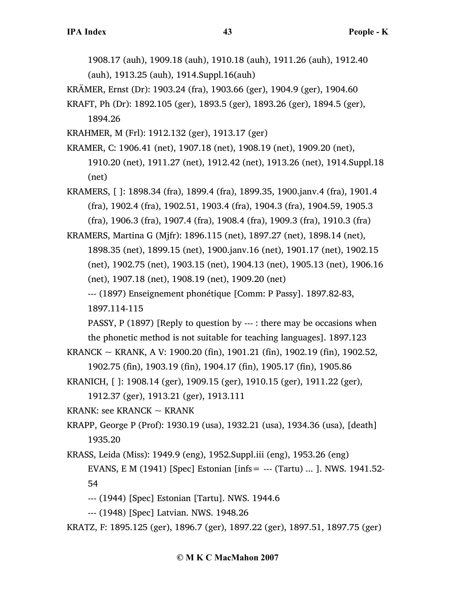1908.17 (auh), 1909.18 (auh), 1910.18 (auh), 1911.26 (auh), 1912.40 (auh), 1913.25 (auh), 1914.Suppl.16(auh)

KRÄMER, Ernst (Dr): 1903.24 (fra), 1903.66 (ger), 1904.9 (ger), 1904.60

KRAFT, Ph (Dr): 1892.105 (ger), 1893.5 (ger), 1893.26 (ger), 1894.5 (ger), 1894.26

KRAHMER, M (Frl): 1912.132 (ger), 1913.17 (ger)

KRAMER, C: 1906.41 (net), 1907.18 (net), 1908.19 (net), 1909.20 (net), 1910.20 (net), 1911.27 (net), 1912.42 (net), 1913.26 (net), 1914.Suppl.18 (net)

KRAMERS, [ ]: 1898.34 (fra), 1899.4 (fra), 1899.35, 1900.janv.4 (fra), 1901.4 (fra), 1902.4 (fra), 1902.51, 1903.4 (fra), 1904.3 (fra), 1904.59, 1905.3 (fra), 1906.3 (fra), 1907.4 (fra), 1908.4 (fra), 1909.3 (fra), 1910.3 (fra)

KRAMERS, Martina G (Mjfr): 1896.115 (net), 1897.27 (net), 1898.14 (net), 1898.35 (net), 1899.15 (net), 1900.janv.16 (net), 1901.17 (net), 1902.15 (net), 1902.75 (net), 1903.15 (net), 1904.13 (net), 1905.13 (net), 1906.16 (net), 1907.18 (net), 1908.19 (net), 1909.20 (net)

--- (1897) Enseignement phonétique [Comm: P Passy]. 1897.82-83,

1897.114-115

PASSY, P (1897) [Reply to question by --- : there may be occasions when the phonetic method is not suitable for teaching languages]. 1897.123

KRANCK ~ KRANK, A V: 1900.20 (fin), 1901.21 (fin), 1902.19 (fin), 1902.52,

1902.75 (fin), 1903.19 (fin), 1904.17 (fin), 1905.17 (fin), 1905.86

KRANICH, [ ]: 1908.14 (ger), 1909.15 (ger), 1910.15 (ger), 1911.22 (ger),

1912.37 (ger), 1913.21 (ger), 1913.111

KRANK: see KRANCK  $\sim$  KRANK

KRAPP, George P (Prof): 1930.19 (usa), 1932.21 (usa), 1934.36 (usa), [death] 1935.20

KRASS, Leida (Miss): 1949.9 (eng), 1952.Suppl.iii (eng), 1953.26 (eng) EVANS, E M (1941) [Spec] Estonian [infs= --- (Tartu) ... ]. NWS. 1941.52- 54

--- (1944) [Spec] Estonian [Tartu]. NWS. 1944.6

--- (1948) [Spec] Latvian. NWS. 1948.26

KRATZ, F: 1895.125 (ger), 1896.7 (ger), 1897.22 (ger), 1897.51, 1897.75 (ger)

## **© M K C MacMahon 2007**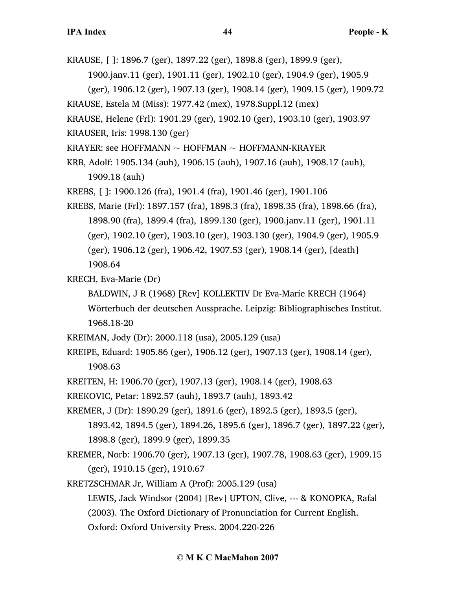KRAUSE, [ ]: 1896.7 (ger), 1897.22 (ger), 1898.8 (ger), 1899.9 (ger),

1900.janv.11 (ger), 1901.11 (ger), 1902.10 (ger), 1904.9 (ger), 1905.9

- (ger), 1906.12 (ger), 1907.13 (ger), 1908.14 (ger), 1909.15 (ger), 1909.72
- KRAUSE, Estela M (Miss): 1977.42 (mex), 1978.Suppl.12 (mex)
- KRAUSE, Helene (Frl): 1901.29 (ger), 1902.10 (ger), 1903.10 (ger), 1903.97

KRAUSER, Iris: 1998.130 (ger)

- KRAYER: see HOFFMANN  $\sim$  HOFFMAN  $\sim$  HOFFMANN-KRAYER
- KRB, Adolf: 1905.134 (auh), 1906.15 (auh), 1907.16 (auh), 1908.17 (auh), 1909.18 (auh)

KREBS, [ ]: 1900.126 (fra), 1901.4 (fra), 1901.46 (ger), 1901.106

KREBS, Marie (Frl): 1897.157 (fra), 1898.3 (fra), 1898.35 (fra), 1898.66 (fra), 1898.90 (fra), 1899.4 (fra), 1899.130 (ger), 1900.janv.11 (ger), 1901.11 (ger), 1902.10 (ger), 1903.10 (ger), 1903.130 (ger), 1904.9 (ger), 1905.9 (ger), 1906.12 (ger), 1906.42, 1907.53 (ger), 1908.14 (ger), [death] 1908.64

KRECH, Eva-Marie (Dr)

BALDWIN, J R (1968) [Rev] KOLLEKTIV Dr Eva-Marie KRECH (1964) Wörterbuch der deutschen Aussprache. Leipzig: Bibliographisches Institut. 1968.18-20

KREIMAN, Jody (Dr): 2000.118 (usa), 2005.129 (usa)

- KREIPE, Eduard: 1905.86 (ger), 1906.12 (ger), 1907.13 (ger), 1908.14 (ger), 1908.63
- KREITEN, H: 1906.70 (ger), 1907.13 (ger), 1908.14 (ger), 1908.63

KREKOVIC, Petar: 1892.57 (auh), 1893.7 (auh), 1893.42

KREMER, J (Dr): 1890.29 (ger), 1891.6 (ger), 1892.5 (ger), 1893.5 (ger),

1893.42, 1894.5 (ger), 1894.26, 1895.6 (ger), 1896.7 (ger), 1897.22 (ger), 1898.8 (ger), 1899.9 (ger), 1899.35

KREMER, Norb: 1906.70 (ger), 1907.13 (ger), 1907.78, 1908.63 (ger), 1909.15 (ger), 1910.15 (ger), 1910.67

KRETZSCHMAR Jr, William A (Prof): 2005.129 (usa)

LEWIS, Jack Windsor (2004) [Rev] UPTON, Clive, --- & KONOPKA, Rafal (2003). The Oxford Dictionary of Pronunciation for Current English. Oxford: Oxford University Press. 2004.220-226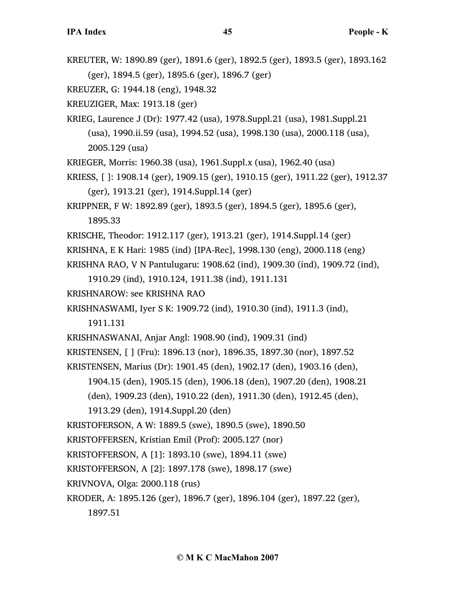- KREUTER, W: 1890.89 (ger), 1891.6 (ger), 1892.5 (ger), 1893.5 (ger), 1893.162 (ger), 1894.5 (ger), 1895.6 (ger), 1896.7 (ger)
- KREUZER, G: 1944.18 (eng), 1948.32
- KREUZIGER, Max: 1913.18 (ger)
- KRIEG, Laurence J (Dr): 1977.42 (usa), 1978.Suppl.21 (usa), 1981.Suppl.21 (usa), 1990.ii.59 (usa), 1994.52 (usa), 1998.130 (usa), 2000.118 (usa), 2005.129 (usa)
- KRIEGER, Morris: 1960.38 (usa), 1961.Suppl.x (usa), 1962.40 (usa)
- KRIESS, [ ]: 1908.14 (ger), 1909.15 (ger), 1910.15 (ger), 1911.22 (ger), 1912.37 (ger), 1913.21 (ger), 1914.Suppl.14 (ger)
- KRIPPNER, F W: 1892.89 (ger), 1893.5 (ger), 1894.5 (ger), 1895.6 (ger), 1895.33
- KRISCHE, Theodor: 1912.117 (ger), 1913.21 (ger), 1914.Suppl.14 (ger)
- KRISHNA, E K Hari: 1985 (ind) [IPA-Rec], 1998.130 (eng), 2000.118 (eng)
- KRISHNA RAO, V N Pantulugaru: 1908.62 (ind), 1909.30 (ind), 1909.72 (ind),
	- 1910.29 (ind), 1910.124, 1911.38 (ind), 1911.131
- KRISHNAROW: see KRISHNA RAO
- KRISHNASWAMI, Iyer S K: 1909.72 (ind), 1910.30 (ind), 1911.3 (ind),
	- 1911.131
- KRISHNASWANAI, Anjar Angl: 1908.90 (ind), 1909.31 (ind)
- KRISTENSEN, [ ] (Fru): 1896.13 (nor), 1896.35, 1897.30 (nor), 1897.52
- KRISTENSEN, Marius (Dr): 1901.45 (den), 1902.17 (den), 1903.16 (den),
	- 1904.15 (den), 1905.15 (den), 1906.18 (den), 1907.20 (den), 1908.21
	- (den), 1909.23 (den), 1910.22 (den), 1911.30 (den), 1912.45 (den),
	- 1913.29 (den), 1914.Suppl.20 (den)
- KRISTOFERSON, A W: 1889.5 (swe), 1890.5 (swe), 1890.50
- KRISTOFFERSEN, Kristian Emil (Prof): 2005.127 (nor)
- KRISTOFFERSON, A [1]: 1893.10 (swe), 1894.11 (swe)
- KRISTOFFERSON, A [2]: 1897.178 (swe), 1898.17 (swe)
- KRIVNOVA, Olga: 2000.118 (rus)
- KRODER, A: 1895.126 (ger), 1896.7 (ger), 1896.104 (ger), 1897.22 (ger),

1897.51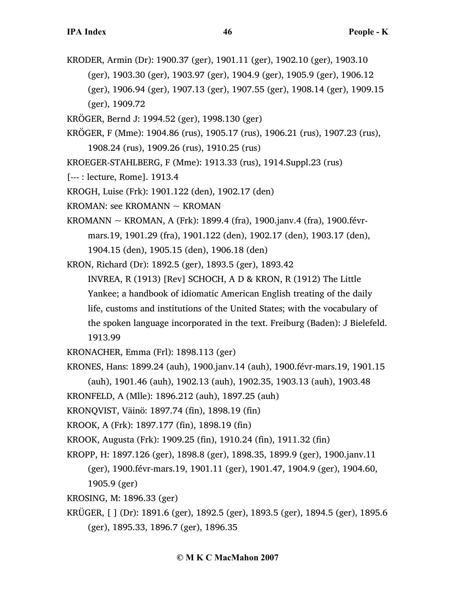- KRODER, Armin (Dr): 1900.37 (ger), 1901.11 (ger), 1902.10 (ger), 1903.10 (ger), 1903.30 (ger), 1903.97 (ger), 1904.9 (ger), 1905.9 (ger), 1906.12 (ger), 1906.94 (ger), 1907.13 (ger), 1907.55 (ger), 1908.14 (ger), 1909.15 (ger), 1909.72
- KRÖGER, Bernd J: 1994.52 (ger), 1998.130 (ger)
- KRÖGER, F (Mme): 1904.86 (rus), 1905.17 (rus), 1906.21 (rus), 1907.23 (rus), 1908.24 (rus), 1909.26 (rus), 1910.25 (rus)
- KROEGER-STAHLBERG, F (Mme): 1913.33 (rus), 1914.Suppl.23 (rus)
- [--- : lecture, Rome]. 1913.4
- KROGH, Luise (Frk): 1901.122 (den), 1902.17 (den)
- KROMAN: see KROMANN  $\sim$  KROMAN
- KROMANN ~ KROMAN, A (Frk): 1899.4 (fra), 1900.janv.4 (fra), 1900.févrmars.19, 1901.29 (fra), 1901.122 (den), 1902.17 (den), 1903.17 (den), 1904.15 (den), 1905.15 (den), 1906.18 (den)
- KRON, Richard (Dr): 1892.5 (ger), 1893.5 (ger), 1893.42
	- INVREA, R (1913) [Rev] SCHOCH, A D & KRON, R (1912) The Little Yankee; a handbook of idiomatic American English treating of the daily life, customs and institutions of the United States; with the vocabulary of the spoken language incorporated in the text. Freiburg (Baden): J Bielefeld. 1913.99

KRONACHER, Emma (Frl): 1898.113 (ger)

- KRONES, Hans: 1899.24 (auh), 1900.janv.14 (auh), 1900.févr-mars.19, 1901.15
	- (auh), 1901.46 (auh), 1902.13 (auh), 1902.35, 1903.13 (auh), 1903.48
- KRONFELD, A (Mlle): 1896.212 (auh), 1897.25 (auh)
- KRONQVIST, Väinö: 1897.74 (fin), 1898.19 (fin)
- KROOK, A (Frk): 1897.177 (fin), 1898.19 (fin)
- KROOK, Augusta (Frk): 1909.25 (fin), 1910.24 (fin), 1911.32 (fin)
- KROPP, H: 1897.126 (ger), 1898.8 (ger), 1898.35, 1899.9 (ger), 1900.janv.11
	- (ger), 1900.févr-mars.19, 1901.11 (ger), 1901.47, 1904.9 (ger), 1904.60, 1905.9 (ger)
- KROSING, M: 1896.33 (ger)
- KRÜGER, [ ] (Dr): 1891.6 (ger), 1892.5 (ger), 1893.5 (ger), 1894.5 (ger), 1895.6 (ger), 1895.33, 1896.7 (ger), 1896.35

#### **© M K C MacMahon 2007**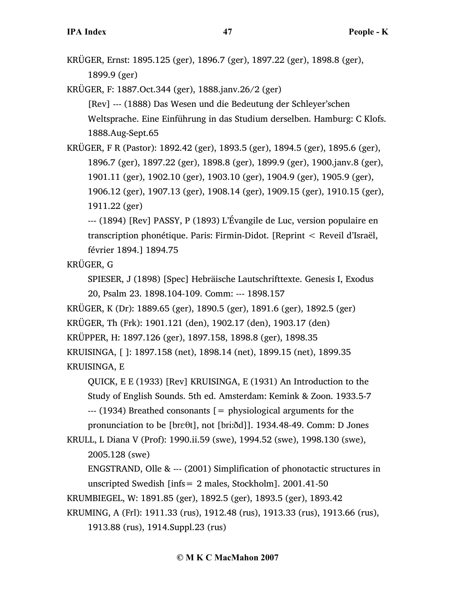KRÜGER, Ernst: 1895.125 (ger), 1896.7 (ger), 1897.22 (ger), 1898.8 (ger), 1899.9 (ger)

KRÜGER, F: 1887.Oct.344 (ger), 1888.janv.26/2 (ger)

[Rev] --- (1888) Das Wesen und die Bedeutung der Schleyer'schen Weltsprache. Eine Einführung in das Studium derselben. Hamburg: C Klofs. 1888.Aug-Sept.65

KRÜGER, F R (Pastor): 1892.42 (ger), 1893.5 (ger), 1894.5 (ger), 1895.6 (ger), 1896.7 (ger), 1897.22 (ger), 1898.8 (ger), 1899.9 (ger), 1900.janv.8 (ger), 1901.11 (ger), 1902.10 (ger), 1903.10 (ger), 1904.9 (ger), 1905.9 (ger), 1906.12 (ger), 1907.13 (ger), 1908.14 (ger), 1909.15 (ger), 1910.15 (ger), 1911.22 (ger)

--- (1894) [Rev] PASSY, P (1893) L'Évangile de Luc, version populaire en transcription phonétique. Paris: Firmin-Didot. [Reprint < Reveil d'Israël, février 1894.] 1894.75

KRÜGER, G

SPIESER, J (1898) [Spec] Hebräische Lautschrifttexte. Genesis I, Exodus 20, Psalm 23. 1898.104-109. Comm: --- 1898.157 KRÜGER, K (Dr): 1889.65 (ger), 1890.5 (ger), 1891.6 (ger), 1892.5 (ger)

KRÜGER, Th (Frk): 1901.121 (den), 1902.17 (den), 1903.17 (den)

KRÜPPER, H: 1897.126 (ger), 1897.158, 1898.8 (ger), 1898.35

KRUISINGA, [ ]: 1897.158 (net), 1898.14 (net), 1899.15 (net), 1899.35 KRUISINGA, E

QUICK, E E (1933) [Rev] KRUISINGA, E (1931) An Introduction to the Study of English Sounds. 5th ed. Amsterdam: Kemink & Zoon. 1933.5-7 --- (1934) Breathed consonants [= physiological arguments for the pronunciation to be [brɛθt], not [briːðd]]. 1934.48-49. Comm: D Jones

KRULL, L Diana V (Prof): 1990.ii.59 (swe), 1994.52 (swe), 1998.130 (swe), 2005.128 (swe)

ENGSTRAND, Olle & --- (2001) Simplification of phonotactic structures in unscripted Swedish [infs= 2 males, Stockholm]. 2001.41-50

KRUMBIEGEL, W: 1891.85 (ger), 1892.5 (ger), 1893.5 (ger), 1893.42

KRUMING, A (Frl): 1911.33 (rus), 1912.48 (rus), 1913.33 (rus), 1913.66 (rus), 1913.88 (rus), 1914.Suppl.23 (rus)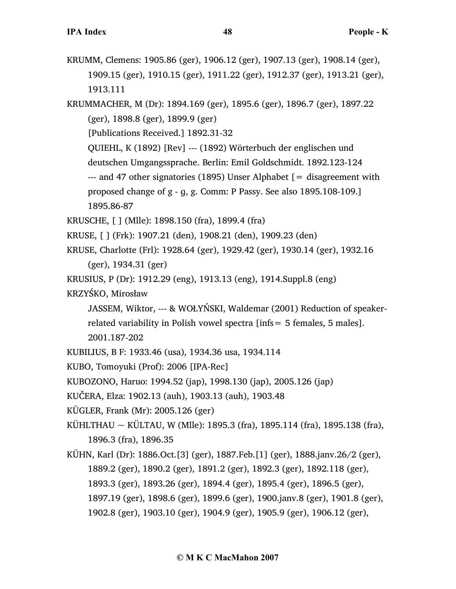- KRUMM, Clemens: 1905.86 (ger), 1906.12 (ger), 1907.13 (ger), 1908.14 (ger), 1909.15 (ger), 1910.15 (ger), 1911.22 (ger), 1912.37 (ger), 1913.21 (ger), 1913.111
- KRUMMACHER, M (Dr): 1894.169 (ger), 1895.6 (ger), 1896.7 (ger), 1897.22 (ger), 1898.8 (ger), 1899.9 (ger)

[Publications Received.] 1892.31-32

QUIEHL, K (1892) [Rev] --- (1892) Wörterbuch der englischen und

deutschen Umgangssprache. Berlin: Emil Goldschmidt. 1892.123-124

 $-$ -- and 47 other signatories (1895) Unser Alphabet  $\beta$  = disagreement with

proposed change of g - ɡ, g. Comm: P Passy. See also 1895.108-109.] 1895.86-87

KRUSCHE, [ ] (Mlle): 1898.150 (fra), 1899.4 (fra)

KRUSE, [ ] (Frk): 1907.21 (den), 1908.21 (den), 1909.23 (den)

KRUSE, Charlotte (Frl): 1928.64 (ger), 1929.42 (ger), 1930.14 (ger), 1932.16 (ger), 1934.31 (ger)

KRUSIUS, P (Dr): 1912.29 (eng), 1913.13 (eng), 1914.Suppl.8 (eng)

KRZYŚKO, Mirosław

JASSEM, Wiktor, --- & WOŁYŃSKI, Waldemar (2001) Reduction of speakerrelated variability in Polish vowel spectra [infs= 5 females, 5 males].

2001.187-202

KUBILIUS, B F: 1933.46 (usa), 1934.36 usa, 1934.114

KUBO, Tomoyuki (Prof): 2006 [IPA-Rec]

KUBOZONO, Haruo: 1994.52 (jap), 1998.130 (jap), 2005.126 (jap)

KUČERA, Elza: 1902.13 (auh), 1903.13 (auh), 1903.48

KÜGLER, Frank (Mr): 2005.126 (ger)

- KÜHLTHAU ~ KÜLTAU, W (Mlle): 1895.3 (fra), 1895.114 (fra), 1895.138 (fra), 1896.3 (fra), 1896.35
- KÜHN, Karl (Dr): 1886.Oct.[3] (ger), 1887.Feb.[1] (ger), 1888.janv.26/2 (ger), 1889.2 (ger), 1890.2 (ger), 1891.2 (ger), 1892.3 (ger), 1892.118 (ger), 1893.3 (ger), 1893.26 (ger), 1894.4 (ger), 1895.4 (ger), 1896.5 (ger), 1897.19 (ger), 1898.6 (ger), 1899.6 (ger), 1900.janv.8 (ger), 1901.8 (ger), 1902.8 (ger), 1903.10 (ger), 1904.9 (ger), 1905.9 (ger), 1906.12 (ger),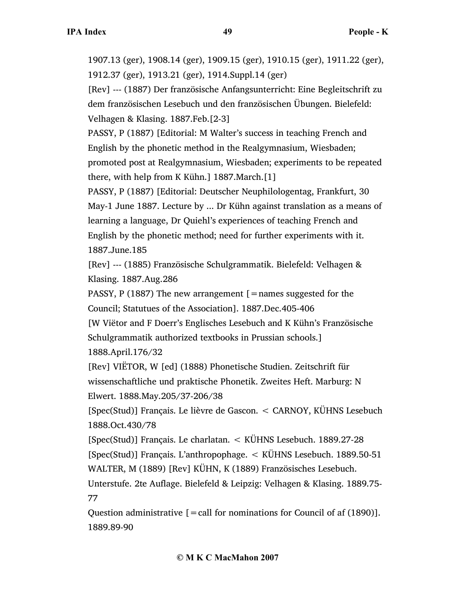1907.13 (ger), 1908.14 (ger), 1909.15 (ger), 1910.15 (ger), 1911.22 (ger), 1912.37 (ger), 1913.21 (ger), 1914.Suppl.14 (ger)

[Rev] --- (1887) Der französische Anfangsunterricht: Eine Begleitschrift zu dem französischen Lesebuch und den französischen Übungen. Bielefeld: Velhagen & Klasing. 1887.Feb.[2-3]

PASSY, P (1887) [Editorial: M Walter's success in teaching French and English by the phonetic method in the Realgymnasium, Wiesbaden; promoted post at Realgymnasium, Wiesbaden; experiments to be repeated there, with help from K Kühn.] 1887.March.[1]

PASSY, P (1887) [Editorial: Deutscher Neuphilologentag, Frankfurt, 30 May-1 June 1887. Lecture by ... Dr Kühn against translation as a means of learning a language, Dr Quiehl's experiences of teaching French and English by the phonetic method; need for further experiments with it. 1887.June.185

[Rev] --- (1885) Französische Schulgrammatik. Bielefeld: Velhagen & Klasing. 1887.Aug.286

PASSY, P (1887) The new arrangement  $[$  = names suggested for the Council; Statutues of the Association]. 1887.Dec.405-406

[W Viëtor and F Doerr's Englisches Lesebuch and K Kühn's Französische Schulgrammatik authorized textbooks in Prussian schools.] 1888.April.176/32

[Rev] VIËTOR, W [ed] (1888) Phonetische Studien. Zeitschrift für wissenschaftliche und praktische Phonetik. Zweites Heft. Marburg: N Elwert. 1888.May.205/37-206/38

[Spec(Stud)] Français. Le lièvre de Gascon. < CARNOY, KÜHNS Lesebuch 1888.Oct.430/78

[Spec(Stud)] Français. Le charlatan. < KÜHNS Lesebuch. 1889.27-28 [Spec(Stud)] Français. L'anthropophage. < KÜHNS Lesebuch. 1889.50-51 WALTER, M (1889) [Rev] KÜHN, K (1889) Französisches Lesebuch.

Unterstufe. 2te Auflage. Bielefeld & Leipzig: Velhagen & Klasing. 1889.75- 77

Question administrative  $[$  = call for nominations for Council of af  $(1890)$ ]. 1889.89-90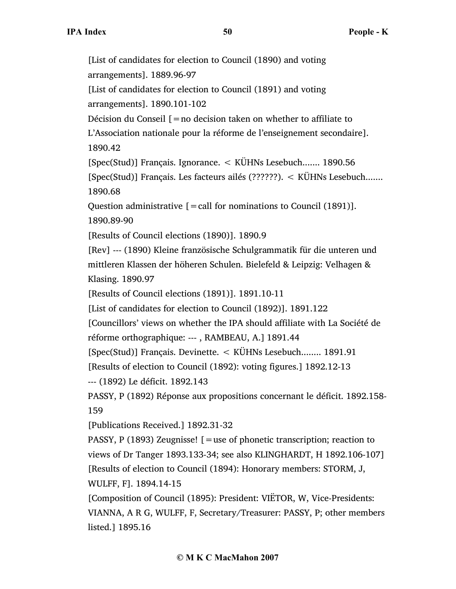[List of candidates for election to Council (1890) and voting arrangements]. 1889.96-97 [List of candidates for election to Council (1891) and voting arrangements]. 1890.101-102 Décision du Conseil [=no decision taken on whether to affiliate to L'Association nationale pour la réforme de l'enseignement secondaire]. 1890.42 [Spec(Stud)] Français. Ignorance. < KÜHNs Lesebuch....... 1890.56 [Spec(Stud)] Français. Les facteurs ailés (??????). < KÜHNs Lesebuch....... 1890.68 Question administrative  $\mathbf{r} = \text{call for noninations to Council (1891)}$ . 1890.89-90 [Results of Council elections (1890)]. 1890.9 [Rev] --- (1890) Kleine französische Schulgrammatik für die unteren und mittleren Klassen der höheren Schulen. Bielefeld & Leipzig: Velhagen & Klasing. 1890.97 [Results of Council elections (1891)]. 1891.10-11 [List of candidates for election to Council (1892)]. 1891.122 [Councillors' views on whether the IPA should affiliate with La Société de réforme orthographique: --- , RAMBEAU, A.] 1891.44 [Spec(Stud)] Français. Devinette. < KÜHNs Lesebuch........ 1891.91 [Results of election to Council (1892): voting figures.] 1892.12-13 --- (1892) Le déficit. 1892.143 PASSY, P (1892) Réponse aux propositions concernant le déficit. 1892.158- 159 [Publications Received.] 1892.31-32 PASSY, P (1893) Zeugnisse!  $\mathcal{F}$  = use of phonetic transcription; reaction to views of Dr Tanger 1893.133-34; see also KLINGHARDT, H 1892.106-107] [Results of election to Council (1894): Honorary members: STORM, J, WULFF, F]. 1894.14-15 [Composition of Council (1895): President: VIËTOR, W, Vice-Presidents: VIANNA, A R G, WULFF, F, Secretary/Treasurer: PASSY, P; other members listed.] 1895.16

# **© M K C MacMahon 2007**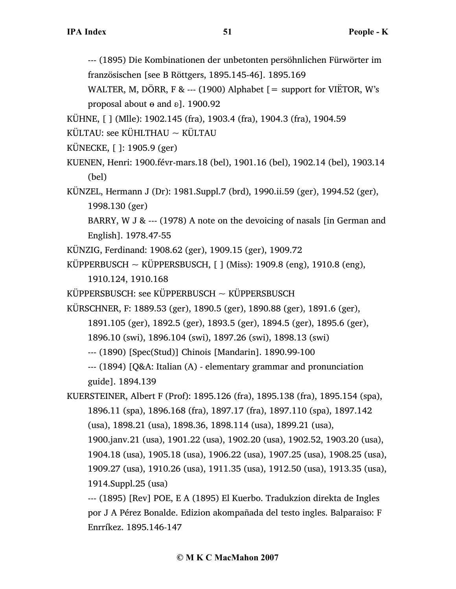--- (1895) Die Kombinationen der unbetonten persöhnlichen Fürwörter im französischen [see B Röttgers, 1895.145-46]. 1895.169

WALTER, M, DÖRR, F & --- (1900) Alphabet  $[$  = support for VIËTOR, W's proposal about  $\theta$  and  $\delta$ ]. 1900.92

KÜHNE, [ ] (Mlle): 1902.145 (fra), 1903.4 (fra), 1904.3 (fra), 1904.59

 $KÜLTAU:$  see  $KÜHLTHAU \sim KÜLTAU$ 

- KÜNECKE, [ ]: 1905.9 (ger)
- KUENEN, Henri: 1900.févr-mars.18 (bel), 1901.16 (bel), 1902.14 (bel), 1903.14 (bel)

KÜNZEL, Hermann J (Dr): 1981.Suppl.7 (brd), 1990.ii.59 (ger), 1994.52 (ger), 1998.130 (ger)

BARRY, W J & --- (1978) A note on the devoicing of nasals [in German and English]. 1978.47-55

KÜNZIG, Ferdinand: 1908.62 (ger), 1909.15 (ger), 1909.72

KÜPPERBUSCH ~ KÜPPERSBUSCH, [ ] (Miss): 1909.8 (eng), 1910.8 (eng), 1910.124, 1910.168

KÜPPERSBUSCH: see KÜPPERBUSCH ~ KÜPPERSBUSCH

KÜRSCHNER, F: 1889.53 (ger), 1890.5 (ger), 1890.88 (ger), 1891.6 (ger),

- 1891.105 (ger), 1892.5 (ger), 1893.5 (ger), 1894.5 (ger), 1895.6 (ger),
- 1896.10 (swi), 1896.104 (swi), 1897.26 (swi), 1898.13 (swi)

--- (1890) [Spec(Stud)] Chinois [Mandarin]. 1890.99-100

--- (1894) [Q&A: Italian (A) - elementary grammar and pronunciation guide]. 1894.139

KUERSTEINER, Albert F (Prof): 1895.126 (fra), 1895.138 (fra), 1895.154 (spa), 1896.11 (spa), 1896.168 (fra), 1897.17 (fra), 1897.110 (spa), 1897.142 (usa), 1898.21 (usa), 1898.36, 1898.114 (usa), 1899.21 (usa), 1900.janv.21 (usa), 1901.22 (usa), 1902.20 (usa), 1902.52, 1903.20 (usa), 1904.18 (usa), 1905.18 (usa), 1906.22 (usa), 1907.25 (usa), 1908.25 (usa), 1909.27 (usa), 1910.26 (usa), 1911.35 (usa), 1912.50 (usa), 1913.35 (usa), 1914.Suppl.25 (usa)

--- (1895) [Rev] POE, E A (1895) El Kuerbo. Tradukzion direkta de Ingles por J A Pérez Bonalde. Edizion akompañada del testo ingles. Balparaiso: F Enrríkez. 1895.146-147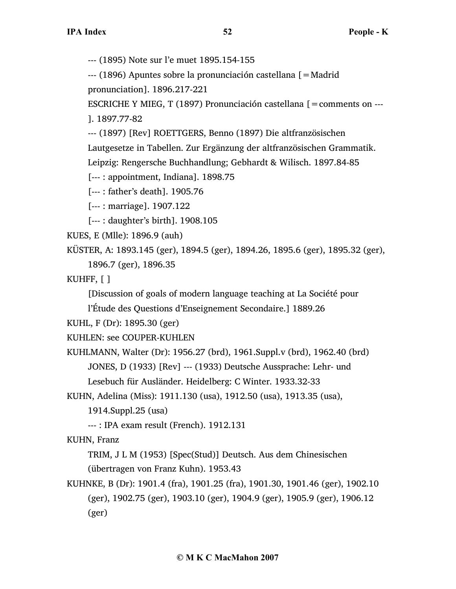--- (1895) Note sur l'e muet 1895.154-155

--- (1896) Apuntes sobre la pronunciación castellana [=Madrid pronunciation]. 1896.217-221

ESCRICHE Y MIEG, T (1897) Pronunciación castellana [=comments on ---

]. 1897.77-82

--- (1897) [Rev] ROETTGERS, Benno (1897) Die altfranzösischen

Lautgesetze in Tabellen. Zur Ergänzung der altfranzösischen Grammatik.

Leipzig: Rengersche Buchhandlung; Gebhardt & Wilisch. 1897.84-85

[--- : appointment, Indiana]. 1898.75

[--- : father's death]. 1905.76

[--- : marriage]. 1907.122

[--- : daughter's birth]. 1908.105

KUES, E (Mlle): 1896.9 (auh)

KÜSTER, A: 1893.145 (ger), 1894.5 (ger), 1894.26, 1895.6 (ger), 1895.32 (ger), 1896.7 (ger), 1896.35

KUHFF, [ ]

[Discussion of goals of modern language teaching at La Société pour

l'Étude des Questions d'Enseignement Secondaire.] 1889.26

```
KUHL, F (Dr): 1895.30 (ger)
```

```
KUHLEN: see COUPER-KUHLEN
```
KUHLMANN, Walter (Dr): 1956.27 (brd), 1961.Suppl.v (brd), 1962.40 (brd) JONES, D (1933) [Rev] --- (1933) Deutsche Aussprache: Lehr- und Lesebuch für Ausländer. Heidelberg: C Winter. 1933.32-33

KUHN, Adelina (Miss): 1911.130 (usa), 1912.50 (usa), 1913.35 (usa),

1914.Suppl.25 (usa)

--- : IPA exam result (French). 1912.131

KUHN, Franz

TRIM, J L M (1953) [Spec(Stud)] Deutsch. Aus dem Chinesischen (übertragen von Franz Kuhn). 1953.43

KUHNKE, B (Dr): 1901.4 (fra), 1901.25 (fra), 1901.30, 1901.46 (ger), 1902.10 (ger), 1902.75 (ger), 1903.10 (ger), 1904.9 (ger), 1905.9 (ger), 1906.12 (ger)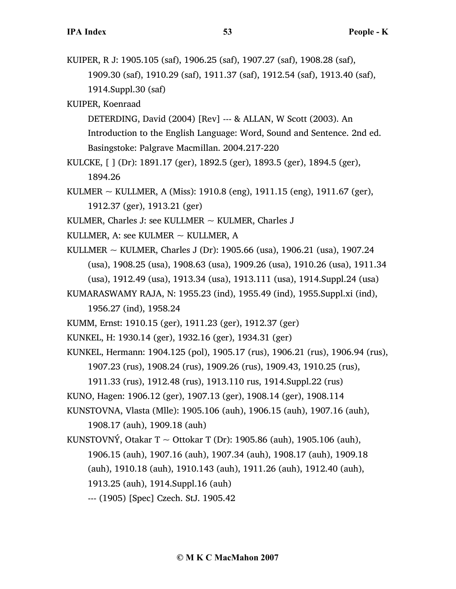KUIPER, R J: 1905.105 (saf), 1906.25 (saf), 1907.27 (saf), 1908.28 (saf), 1909.30 (saf), 1910.29 (saf), 1911.37 (saf), 1912.54 (saf), 1913.40 (saf), 1914.Suppl.30 (saf)

KUIPER, Koenraad

- DETERDING, David (2004) [Rev] --- & ALLAN, W Scott (2003). An Introduction to the English Language: Word, Sound and Sentence. 2nd ed. Basingstoke: Palgrave Macmillan. 2004.217-220
- KULCKE, [ ] (Dr): 1891.17 (ger), 1892.5 (ger), 1893.5 (ger), 1894.5 (ger), 1894.26
- KULMER ~ KULLMER, A (Miss): 1910.8 (eng), 1911.15 (eng), 1911.67 (ger), 1912.37 (ger), 1913.21 (ger)
- KULMER, Charles J: see KULLMER  $\sim$  KULMER, Charles J
- KULLMER, A: see KULMER  $\sim$  KULLMER, A
- KULLMER ~ KULMER, Charles J (Dr): 1905.66 (usa), 1906.21 (usa), 1907.24 (usa), 1908.25 (usa), 1908.63 (usa), 1909.26 (usa), 1910.26 (usa), 1911.34 (usa), 1912.49 (usa), 1913.34 (usa), 1913.111 (usa), 1914.Suppl.24 (usa)
- KUMARASWAMY RAJA, N: 1955.23 (ind), 1955.49 (ind), 1955.Suppl.xi (ind),

1956.27 (ind), 1958.24

- KUMM, Ernst: 1910.15 (ger), 1911.23 (ger), 1912.37 (ger)
- KUNKEL, H: 1930.14 (ger), 1932.16 (ger), 1934.31 (ger)
- KUNKEL, Hermann: 1904.125 (pol), 1905.17 (rus), 1906.21 (rus), 1906.94 (rus),

1907.23 (rus), 1908.24 (rus), 1909.26 (rus), 1909.43, 1910.25 (rus),

1911.33 (rus), 1912.48 (rus), 1913.110 rus, 1914.Suppl.22 (rus)

- KUNO, Hagen: 1906.12 (ger), 1907.13 (ger), 1908.14 (ger), 1908.114
- KUNSTOVNA, Vlasta (Mlle): 1905.106 (auh), 1906.15 (auh), 1907.16 (auh),

1908.17 (auh), 1909.18 (auh)

- KUNSTOVNÝ, Otakar T  $\sim$  Ottokar T (Dr): 1905.86 (auh), 1905.106 (auh),
	- 1906.15 (auh), 1907.16 (auh), 1907.34 (auh), 1908.17 (auh), 1909.18

(auh), 1910.18 (auh), 1910.143 (auh), 1911.26 (auh), 1912.40 (auh),

1913.25 (auh), 1914.Suppl.16 (auh)

--- (1905) [Spec] Czech. StJ. 1905.42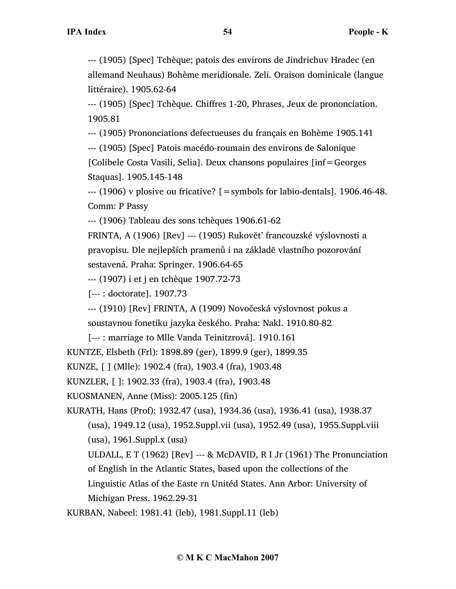--- (1905) [Spec] Tchèque; patois des environs de Jindrichuv Hradec (en allemand Neuhaus) Bohème meridionale. Zeli. Oraison dominicale (langue littéraire). 1905.62-64

--- (1905) [Spec] Tchèque. Chiffres 1-20, Phrases, Jeux de prononciation. 1905.81

--- (1905) Prononciations defectueuses du français en Bohème 1905.141

--- (1905) [Spec] Patois macédo-roumain des environs de Salonique

[Colibele Costa Vasili, Selia]. Deux chansons populaires [inf=Georges Staquas]. 1905.145-148

 $-$ -- $(1906)$  v plosive ou fricative? [=symbols for labio-dentals]. 1906.46-48. Comm: P Passy

--- (1906) Tableau des sons tchèques 1906.61-62

FRINTA, A (1906) [Rev] --- (1905) Rukovĕt' francouzské výslovnosti a pravopisu. Dle nejlepších pramenů i na základĕ vlastního pozorování sestavená. Praha: Springer. 1906.64-65

--- (1907) i et j en tchèque 1907.72-73

[--- : doctorate]. 1907.73

--- (1910) [Rev] FRINTA, A (1909) Novočeská výslovnost pokus a soustavnou fonetiku jazyka českého. Praha: Nakl. 1910.80-82

[--- : marriage to Mlle Vanda Teinitzrová]. 1910.161

KUNTZE, Elsbeth (Frl): 1898.89 (ger), 1899.9 (ger), 1899.35

KUNZE, [ ] (Mlle): 1902.4 (fra), 1903.4 (fra), 1903.48

KUNZLER, [ ]: 1902.33 (fra), 1903.4 (fra), 1903.48

KUOSMANEN, Anne (Miss): 2005.125 (fin)

KURATH, Hans (Prof): 1932.47 (usa), 1934.36 (usa), 1936.41 (usa), 1938.37

(usa), 1949.12 (usa), 1952.Suppl.vii (usa), 1952.49 (usa), 1955.Suppl.viii (usa), 1961.Suppl.x (usa)

ULDALL, E T (1962) [Rev] --- & McDAVID, R I Jr (1961) The Pronunciation of English in the Atlantic States, based upon the collections of the Linguistic Atlas of the Easte rn Unitéd States. Ann Arbor: University of

Michigan Press. 1962.29-31

KURBAN, Nabeel: 1981.41 (leb), 1981.Suppl.11 (leb)